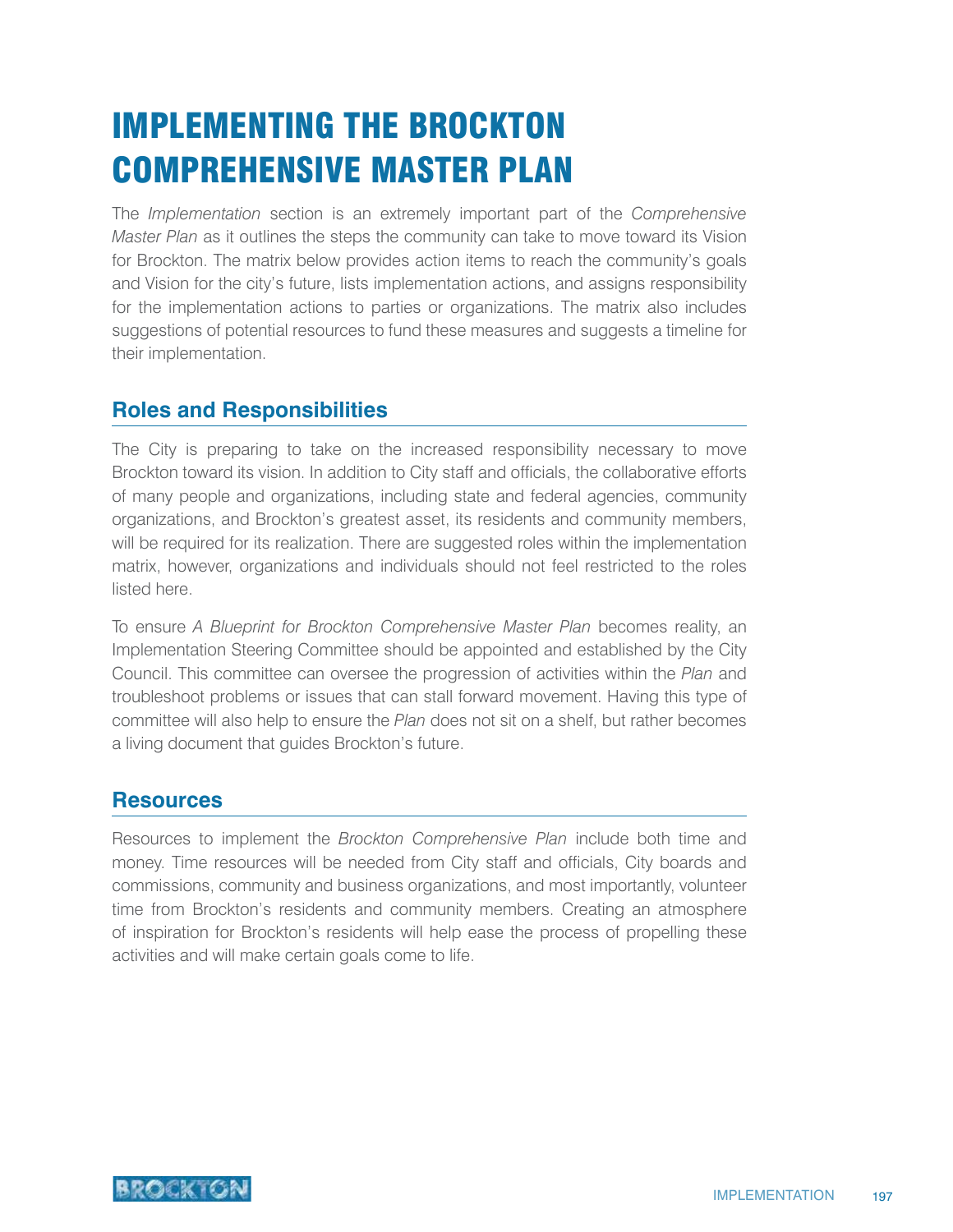# IMPLEMENTING THE BROCKTON COMPREHENSIVE MASTER PLAN

The *Implementation* section is an extremely important part of the *Comprehensive Master Plan* as it outlines the steps the community can take to move toward its Vision for Brockton. The matrix below provides action items to reach the community's goals and Vision for the city's future, lists implementation actions, and assigns responsibility for the implementation actions to parties or organizations. The matrix also includes suggestions of potential resources to fund these measures and suggests a timeline for their implementation.

# **Roles and Responsibilities**

The City is preparing to take on the increased responsibility necessary to move Brockton toward its vision. In addition to City staff and officials, the collaborative efforts of many people and organizations, including state and federal agencies, community organizations, and Brockton's greatest asset, its residents and community members, will be required for its realization. There are suggested roles within the implementation matrix, however, organizations and individuals should not feel restricted to the roles listed here.

To ensure *A Blueprint for Brockton Comprehensive Master Plan* becomes reality, an Implementation Steering Committee should be appointed and established by the City Council. This committee can oversee the progression of activities within the *Plan* and troubleshoot problems or issues that can stall forward movement. Having this type of committee will also help to ensure the *Plan* does not sit on a shelf, but rather becomes a living document that guides Brockton's future.

### **Resources**

Resources to implement the *Brockton Comprehensive Plan* include both time and money. Time resources will be needed from City staff and officials, City boards and commissions, community and business organizations, and most importantly, volunteer time from Brockton's residents and community members. Creating an atmosphere of inspiration for Brockton's residents will help ease the process of propelling these activities and will make certain goals come to life.

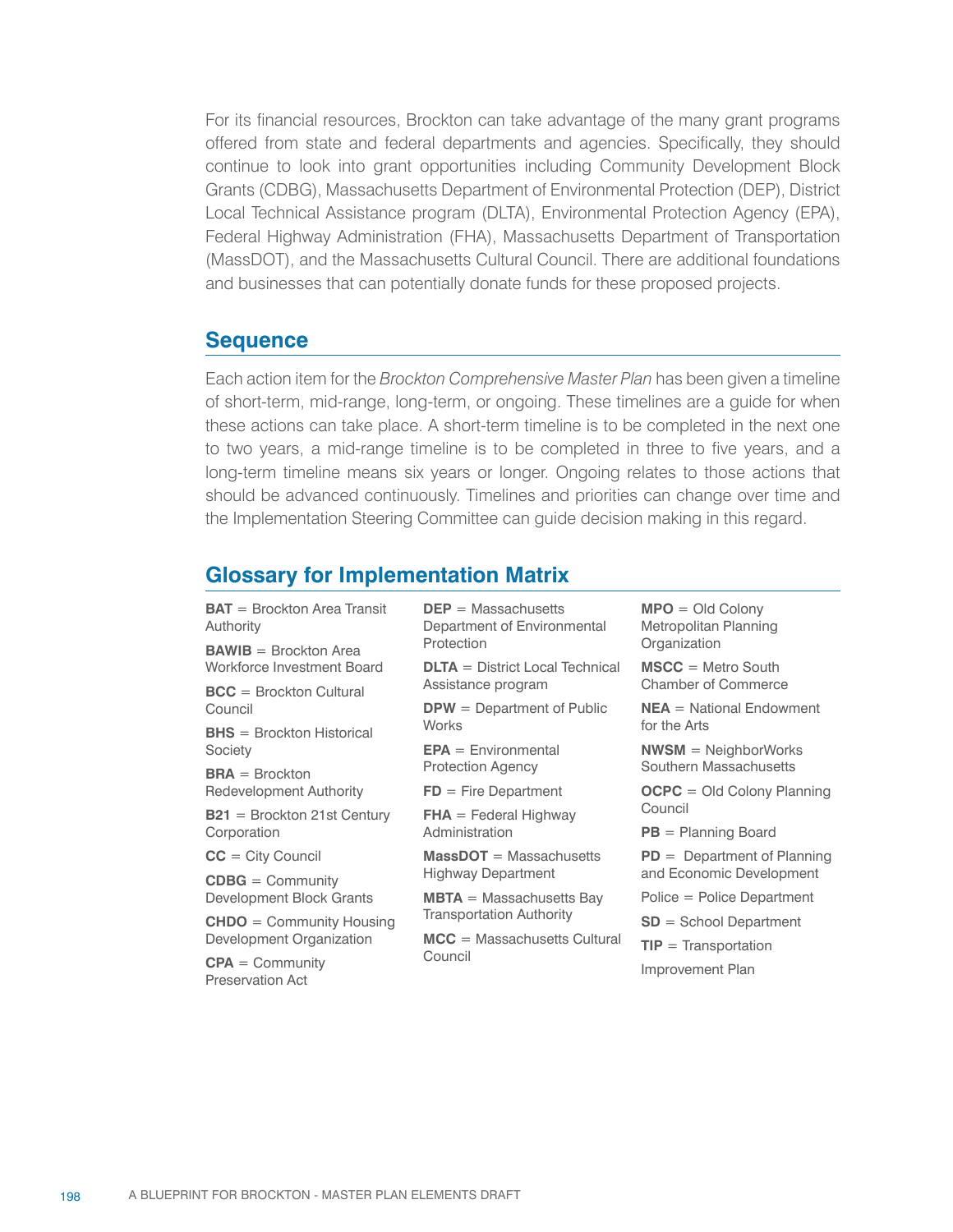For its financial resources, Brockton can take advantage of the many grant programs offered from state and federal departments and agencies. Specifically, they should continue to look into grant opportunities including Community Development Block Grants (CDBG), Massachusetts Department of Environmental Protection (DEP), District Local Technical Assistance program (DLTA), Environmental Protection Agency (EPA), Federal Highway Administration (FHA), Massachusetts Department of Transportation (MassDOT), and the Massachusetts Cultural Council. There are additional foundations and businesses that can potentially donate funds for these proposed projects.

#### **Sequence**

Each action item for the *Brockton Comprehensive Master Plan* has been given a timeline of short-term, mid-range, long-term, or ongoing. These timelines are a guide for when these actions can take place. A short-term timeline is to be completed in the next one to two years, a mid-range timeline is to be completed in three to five years, and a long-term timeline means six years or longer. Ongoing relates to those actions that should be advanced continuously. Timelines and priorities can change over time and the Implementation Steering Committee can guide decision making in this regard.

## **Glossary for Implementation Matrix**

| $BAT = Brockton Area Transit$<br>Authority | $DEF = Massachusetts$<br>Department of Environmental | $MPO = Old Colony$<br>Metropolitan Planning |  |
|--------------------------------------------|------------------------------------------------------|---------------------------------------------|--|
| $BAWIB = Brockton Area$                    | Protection                                           | Organization                                |  |
| Workforce Investment Board                 | $DLTA = District Local Technical$                    | $MSCC = Metro South$                        |  |
| $BCC = Brockton Cultural$                  | Assistance program                                   | <b>Chamber of Commerce</b>                  |  |
| Council                                    | $DPW = Department of Public$                         | $NEA = National Endowment$                  |  |
| $BHS = Brockton Historical$                | <b>Works</b>                                         | for the Arts                                |  |
| Society                                    | $EPA = Environment$                                  | $NWSM = NeighbourWorks$                     |  |
| $BRA = Brockton$                           | <b>Protection Agency</b>                             | Southern Massachusetts                      |  |
| Redevelopment Authority                    | $FD = Fire Department$                               | $OCPC = Old Colony Planning$                |  |
| $B21 = Brockton 21st Century$              | $FHA = Federal Highway$                              | Council                                     |  |
| Corporation                                | Administration                                       | $PB =$ Planning Board                       |  |
| $CC = City Council$                        | $MassDOT = Massachusetts$                            | $PD = Department of Planning$               |  |
| $CDBG = Community$                         | Highway Department                                   | and Economic Development                    |  |
| Development Block Grants                   | $MBTA = Massachusetts Bay$                           | $Police = Police Department$                |  |
| $CHDO = Community$ Housing                 | <b>Transportation Authority</b>                      | $SD =$ School Department                    |  |
| Development Organization                   | $MCC = Massachusetts Cultural$                       | $TIP = Transportation$                      |  |
| $CPA = Community$<br>Preservation Act      | Council                                              | Improvement Plan                            |  |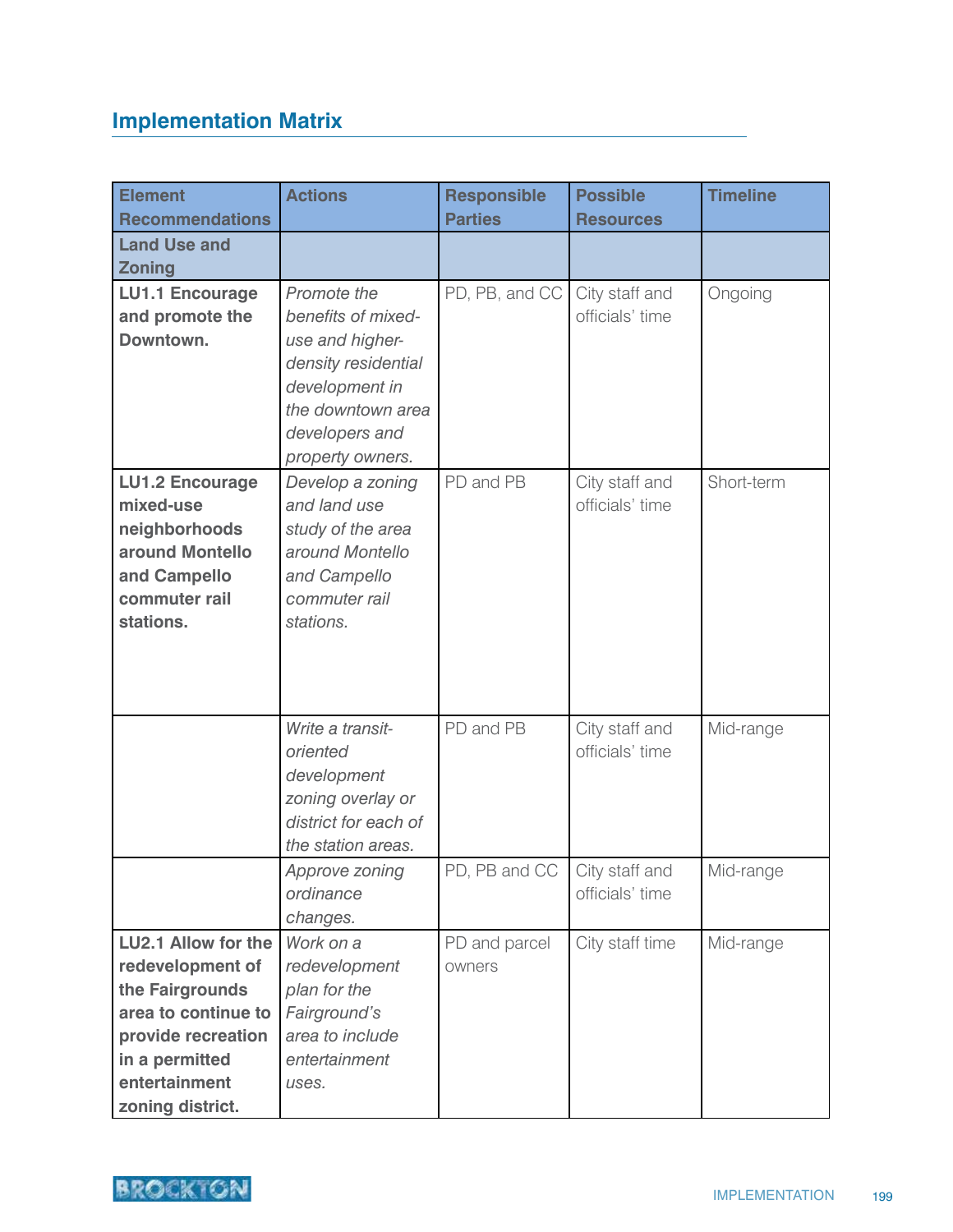# **Implementation Matrix**

| <b>Element</b>         | <b>Actions</b>       | <b>Responsible</b> | <b>Possible</b>  | <b>Timeline</b> |
|------------------------|----------------------|--------------------|------------------|-----------------|
| <b>Recommendations</b> |                      | <b>Parties</b>     | <b>Resources</b> |                 |
| <b>Land Use and</b>    |                      |                    |                  |                 |
| <b>Zoning</b>          |                      |                    |                  |                 |
| <b>LU1.1 Encourage</b> | Promote the          | PD, PB, and CC     | City staff and   | Ongoing         |
| and promote the        | benefits of mixed-   |                    | officials' time  |                 |
| Downtown.              | use and higher-      |                    |                  |                 |
|                        | density residential  |                    |                  |                 |
|                        | development in       |                    |                  |                 |
|                        | the downtown area    |                    |                  |                 |
|                        | developers and       |                    |                  |                 |
|                        | property owners.     |                    |                  |                 |
| <b>LU1.2 Encourage</b> | Develop a zoning     | PD and PB          | City staff and   | Short-term      |
| mixed-use              | and land use         |                    | officials' time  |                 |
| neighborhoods          | study of the area    |                    |                  |                 |
| around Montello        | around Montello      |                    |                  |                 |
| and Campello           | and Campello         |                    |                  |                 |
| commuter rail          | commuter rail        |                    |                  |                 |
| stations.              | stations.            |                    |                  |                 |
|                        |                      |                    |                  |                 |
|                        |                      |                    |                  |                 |
|                        |                      |                    |                  |                 |
|                        | Write a transit-     | PD and PB          | City staff and   | Mid-range       |
|                        | oriented             |                    | officials' time  |                 |
|                        | development          |                    |                  |                 |
|                        | zoning overlay or    |                    |                  |                 |
|                        | district for each of |                    |                  |                 |
|                        | the station areas.   |                    |                  |                 |
|                        | Approve zoning       | PD, PB and CC      | City staff and   | Mid-range       |
|                        | ordinance            |                    | officials' time  |                 |
|                        | changes.             |                    |                  |                 |
| LU2.1 Allow for the    | Work on a            | PD and parcel      | City staff time  | Mid-range       |
| redevelopment of       | redevelopment        | owners             |                  |                 |
| the Fairgrounds        | plan for the         |                    |                  |                 |
| area to continue to    | Fairground's         |                    |                  |                 |
| provide recreation     | area to include      |                    |                  |                 |
| in a permitted         | entertainment        |                    |                  |                 |
| entertainment          | uses.                |                    |                  |                 |
| zoning district.       |                      |                    |                  |                 |

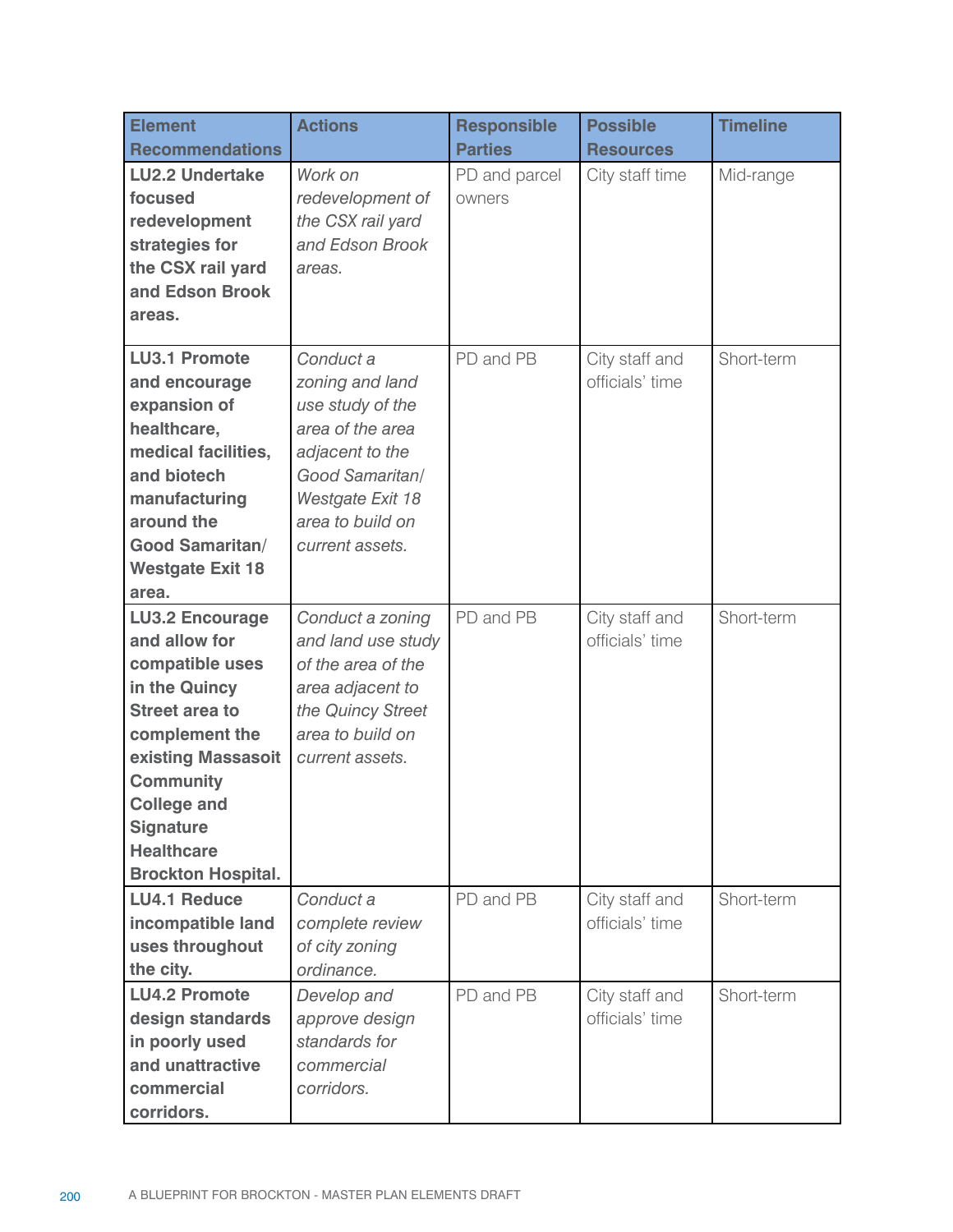| <b>Element</b><br><b>Recommendations</b>                                                                                                                                                                                                                     | <b>Actions</b>                                                                                                                                                        | <b>Responsible</b><br><b>Parties</b> | <b>Possible</b><br><b>Resources</b> | <b>Timeline</b> |
|--------------------------------------------------------------------------------------------------------------------------------------------------------------------------------------------------------------------------------------------------------------|-----------------------------------------------------------------------------------------------------------------------------------------------------------------------|--------------------------------------|-------------------------------------|-----------------|
| <b>LU2.2 Undertake</b><br>focused<br>redevelopment<br>strategies for<br>the CSX rail yard<br>and Edson Brook<br>areas.                                                                                                                                       | Work on<br>redevelopment of<br>the CSX rail yard<br>and Edson Brook<br>areas.                                                                                         | PD and parcel<br>owners              | City staff time                     | Mid-range       |
| <b>LU3.1 Promote</b><br>and encourage<br>expansion of<br>healthcare,<br>medical facilities,<br>and biotech<br>manufacturing<br>around the<br><b>Good Samaritan/</b><br><b>Westgate Exit 18</b><br>area.                                                      | Conduct a<br>zoning and land<br>use study of the<br>area of the area<br>adjacent to the<br>Good Samaritan/<br>Westgate Exit 18<br>area to build on<br>current assets. | PD and PB                            | City staff and<br>officials' time   | Short-term      |
| <b>LU3.2 Encourage</b><br>and allow for<br>compatible uses<br>in the Quincy<br><b>Street area to</b><br>complement the<br>existing Massasoit<br><b>Community</b><br><b>College and</b><br><b>Signature</b><br><b>Healthcare</b><br><b>Brockton Hospital.</b> | Conduct a zoning<br>and land use study<br>of the area of the<br>area adjacent to<br>the Quincy Street<br>area to build on<br>current assets.                          | PD and PB                            | City staff and<br>officials' time   | Short-term      |
| <b>LU4.1 Reduce</b><br>incompatible land<br>uses throughout<br>the city.                                                                                                                                                                                     | Conduct a<br>complete review<br>of city zoning<br>ordinance.                                                                                                          | PD and PB                            | City staff and<br>officials' time   | Short-term      |
| <b>LU4.2 Promote</b><br>design standards<br>in poorly used<br>and unattractive<br>commercial<br>corridors.                                                                                                                                                   | Develop and<br>approve design<br>standards for<br>commercial<br>corridors.                                                                                            | PD and PB                            | City staff and<br>officials' time   | Short-term      |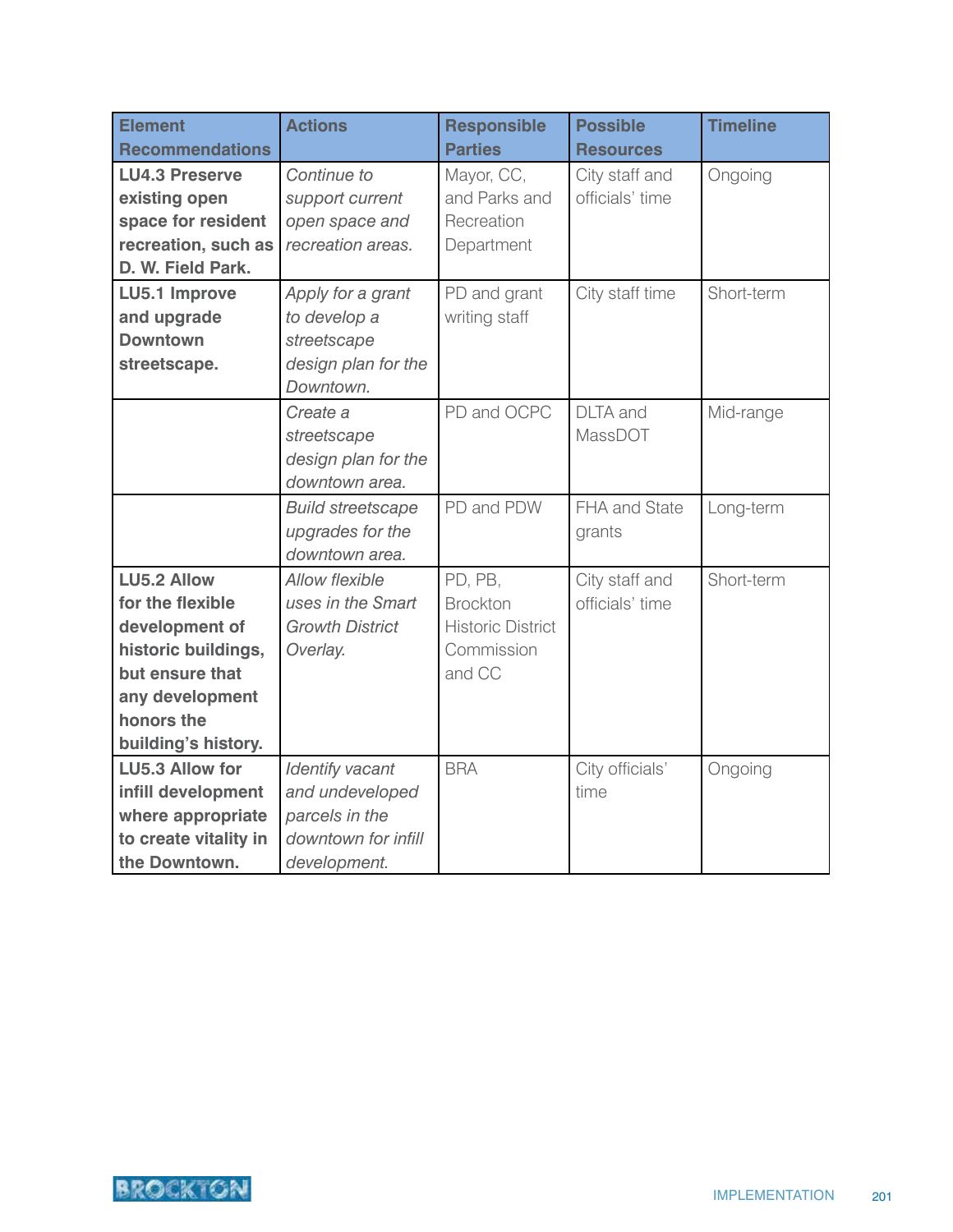| <b>Element</b>         | <b>Actions</b>           | <b>Responsible</b>       | <b>Possible</b>  | <b>Timeline</b> |
|------------------------|--------------------------|--------------------------|------------------|-----------------|
| <b>Recommendations</b> |                          | <b>Parties</b>           | <b>Resources</b> |                 |
| <b>LU4.3 Preserve</b>  | Continue to              | Mayor, CC,               | City staff and   | Ongoing         |
| existing open          | support current          | and Parks and            | officials' time  |                 |
| space for resident     | open space and           | Recreation               |                  |                 |
| recreation, such as    | recreation areas.        | Department               |                  |                 |
| D. W. Field Park.      |                          |                          |                  |                 |
| LU5.1 Improve          | Apply for a grant        | PD and grant             | City staff time  | Short-term      |
| and upgrade            | to develop a             | writing staff            |                  |                 |
| <b>Downtown</b>        | streetscape              |                          |                  |                 |
| streetscape.           | design plan for the      |                          |                  |                 |
|                        | Downtown.                |                          |                  |                 |
|                        | Create a                 | PD and OCPC              | <b>DLTA</b> and  | Mid-range       |
|                        | streetscape              |                          | MassDOT          |                 |
|                        | design plan for the      |                          |                  |                 |
|                        | downtown area.           |                          |                  |                 |
|                        | <b>Build streetscape</b> | PD and PDW               | FHA and State    | Long-term       |
|                        | upgrades for the         |                          | grants           |                 |
|                        | downtown area.           |                          |                  |                 |
| <b>LU5.2 Allow</b>     | <b>Allow flexible</b>    | PD, PB,                  | City staff and   | Short-term      |
| for the flexible       | uses in the Smart        | <b>Brockton</b>          | officials' time  |                 |
| development of         | <b>Growth District</b>   | <b>Historic District</b> |                  |                 |
| historic buildings,    | Overlay.                 | Commission               |                  |                 |
| but ensure that        |                          | and CC                   |                  |                 |
| any development        |                          |                          |                  |                 |
| honors the             |                          |                          |                  |                 |
| building's history.    |                          |                          |                  |                 |
| <b>LU5.3 Allow for</b> | <b>Identify vacant</b>   | <b>BRA</b>               | City officials'  | Ongoing         |
| infill development     | and undeveloped          |                          | time             |                 |
| where appropriate      | parcels in the           |                          |                  |                 |
| to create vitality in  | downtown for infill      |                          |                  |                 |
| the Downtown.          | development.             |                          |                  |                 |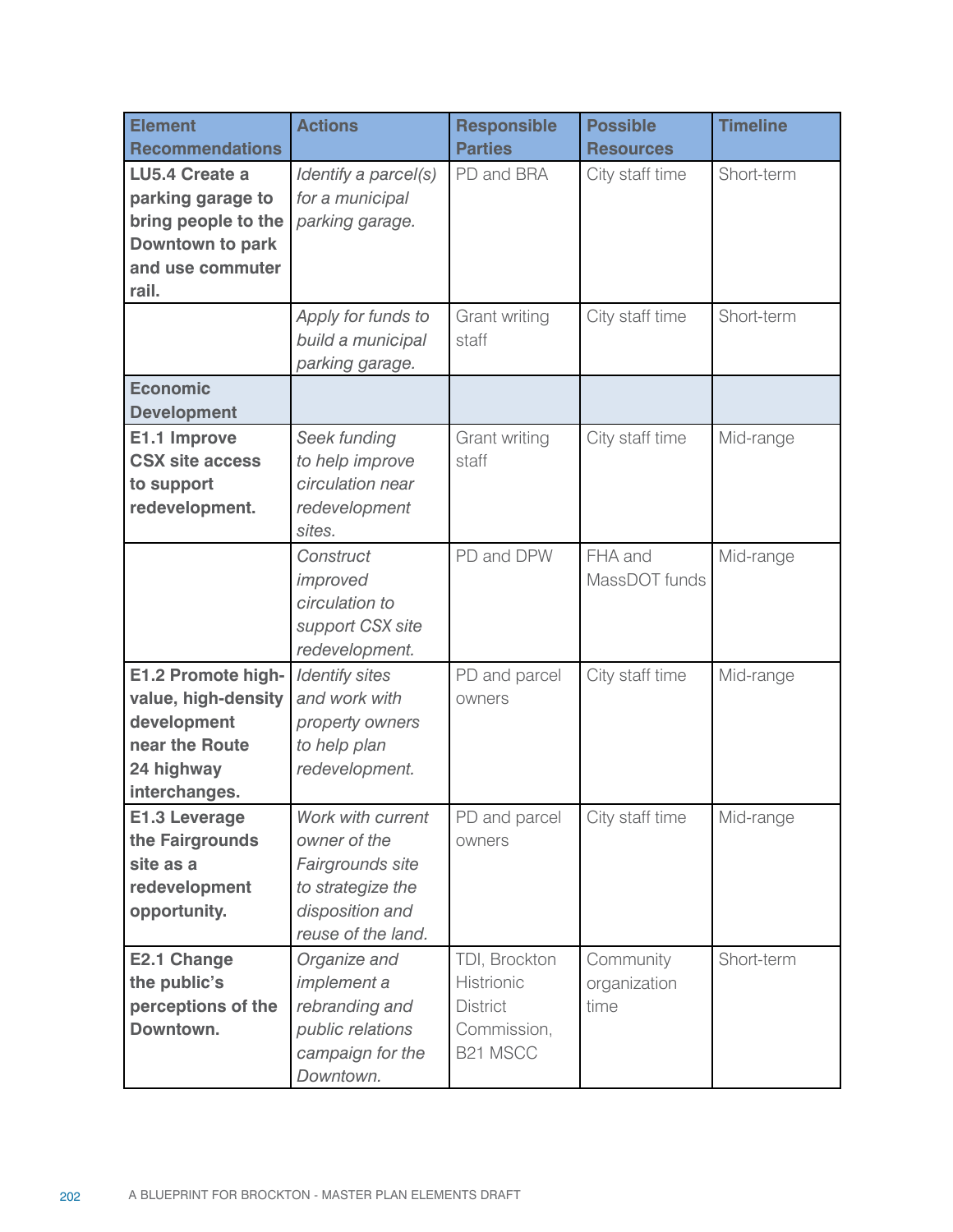| <b>Element</b><br><b>Recommendations</b>                                                                    | <b>Actions</b>                                                                                                      | <b>Responsible</b><br><b>Parties</b>                                      | <b>Possible</b><br><b>Resources</b> | <b>Timeline</b> |
|-------------------------------------------------------------------------------------------------------------|---------------------------------------------------------------------------------------------------------------------|---------------------------------------------------------------------------|-------------------------------------|-----------------|
| LU5.4 Create a<br>parking garage to<br>bring people to the<br>Downtown to park<br>and use commuter<br>rail. | Identify a parcel(s)<br>for a municipal<br>parking garage.                                                          | PD and BRA                                                                | City staff time                     | Short-term      |
|                                                                                                             | Apply for funds to<br>build a municipal<br>parking garage.                                                          | Grant writing<br>staff                                                    | City staff time                     | Short-term      |
| <b>Economic</b><br><b>Development</b>                                                                       |                                                                                                                     |                                                                           |                                     |                 |
| E1.1 Improve<br><b>CSX site access</b><br>to support<br>redevelopment.                                      | Seek funding<br>to help improve<br>circulation near<br>redevelopment<br>sites.                                      | Grant writing<br>staff                                                    | City staff time                     | Mid-range       |
|                                                                                                             | Construct<br>improved<br>circulation to<br>support CSX site<br>redevelopment.                                       | PD and DPW                                                                | FHA and<br>MassDOT funds            | Mid-range       |
| E1.2 Promote high-<br>value, high-density<br>development<br>near the Route<br>24 highway<br>interchanges.   | <b>Identify sites</b><br>and work with<br>property owners<br>to help plan<br>redevelopment.                         | PD and parcel<br>owners                                                   | City staff time                     | Mid-range       |
| <b>E1.3 Leverage</b><br>the Fairgrounds<br>site as a<br>redevelopment<br>opportunity.                       | Work with current<br>owner of the<br>Fairgrounds site<br>to strategize the<br>disposition and<br>reuse of the land. | PD and parcel<br>owners                                                   | City staff time                     | Mid-range       |
| E2.1 Change<br>the public's<br>perceptions of the<br>Downtown.                                              | Organize and<br><i>implement</i> a<br>rebranding and<br>public relations<br>campaign for the<br>Downtown.           | TDI, Brockton<br>Histrionic<br><b>District</b><br>Commission,<br>B21 MSCC | Community<br>organization<br>time   | Short-term      |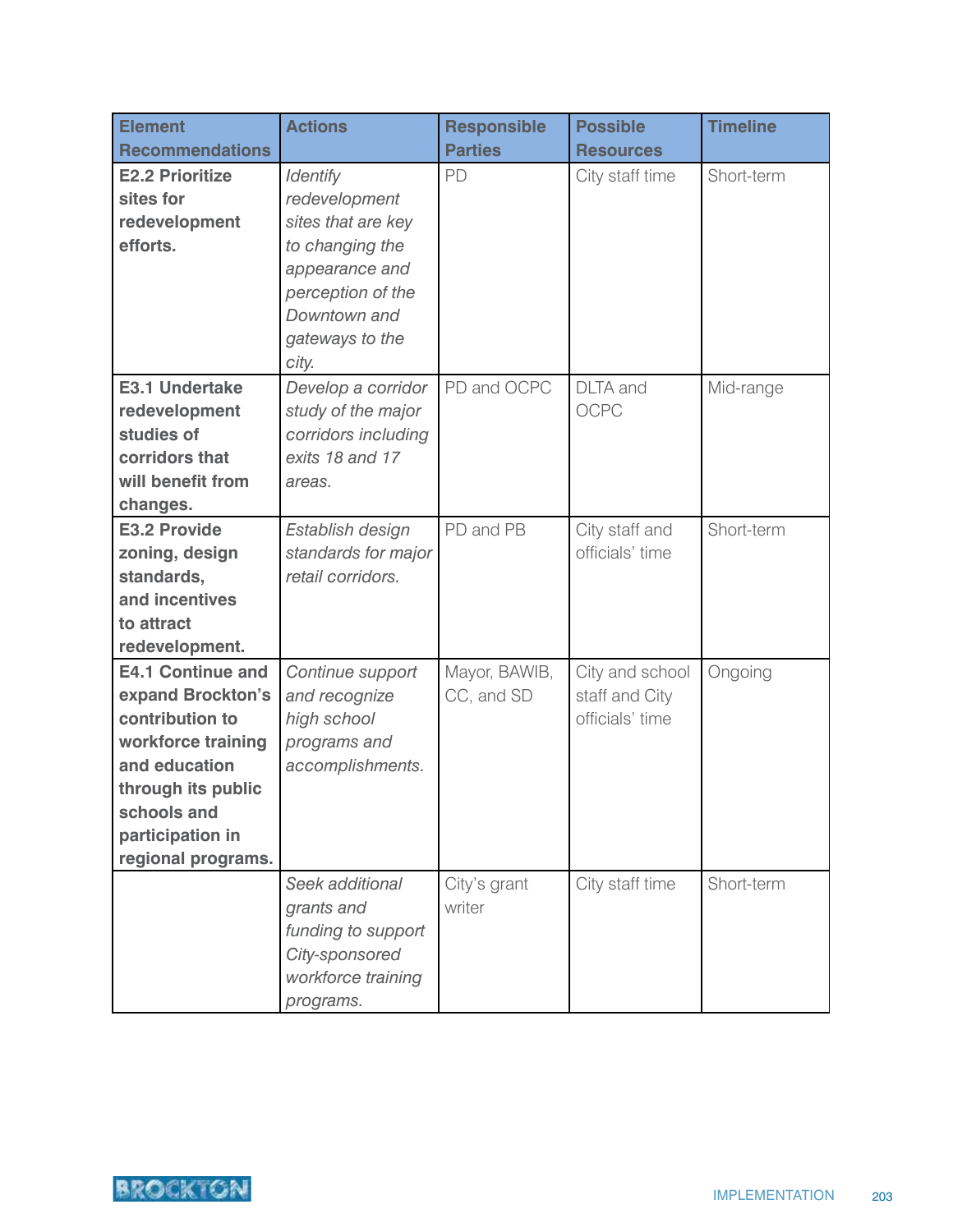| <b>Element</b>               | <b>Actions</b>                           | <b>Responsible</b> | <b>Possible</b>  | <b>Timeline</b> |
|------------------------------|------------------------------------------|--------------------|------------------|-----------------|
| <b>Recommendations</b>       |                                          | <b>Parties</b>     | <b>Resources</b> |                 |
| <b>E2.2 Prioritize</b>       | <b>Identify</b>                          | PD                 | City staff time  | Short-term      |
| sites for                    | redevelopment                            |                    |                  |                 |
| redevelopment                | sites that are key                       |                    |                  |                 |
| efforts.                     | to changing the                          |                    |                  |                 |
|                              | appearance and                           |                    |                  |                 |
|                              | perception of the                        |                    |                  |                 |
|                              | Downtown and                             |                    |                  |                 |
|                              | gateways to the                          |                    |                  |                 |
|                              | city.                                    |                    |                  |                 |
| E3.1 Undertake               | Develop a corridor                       | PD and OCPC        | <b>DLTA</b> and  | Mid-range       |
| redevelopment                | study of the major                       |                    | <b>OCPC</b>      |                 |
| studies of                   | corridors including                      |                    |                  |                 |
| corridors that               | exits 18 and 17                          |                    |                  |                 |
| will benefit from            | areas.                                   |                    |                  |                 |
| changes.                     |                                          |                    |                  |                 |
| E3.2 Provide                 | Establish design                         | PD and PB          | City staff and   | Short-term      |
| zoning, design               | standards for major<br>retail corridors. |                    | officials' time  |                 |
| standards,<br>and incentives |                                          |                    |                  |                 |
| to attract                   |                                          |                    |                  |                 |
| redevelopment.               |                                          |                    |                  |                 |
| <b>E4.1 Continue and</b>     | Continue support                         | Mayor, BAWIB,      | City and school  | Ongoing         |
| expand Brockton's            | and recognize                            | CC, and SD         | staff and City   |                 |
| contribution to              | high school                              |                    | officials' time  |                 |
| workforce training           | programs and                             |                    |                  |                 |
| and education                | accomplishments.                         |                    |                  |                 |
| through its public           |                                          |                    |                  |                 |
| schools and                  |                                          |                    |                  |                 |
| participation in             |                                          |                    |                  |                 |
| regional programs.           |                                          |                    |                  |                 |
|                              | Seek additional                          | City's grant       | City staff time  | Short-term      |
|                              | grants and                               | writer             |                  |                 |
|                              | funding to support                       |                    |                  |                 |
|                              | City-sponsored                           |                    |                  |                 |
|                              | workforce training                       |                    |                  |                 |
|                              | programs.                                |                    |                  |                 |

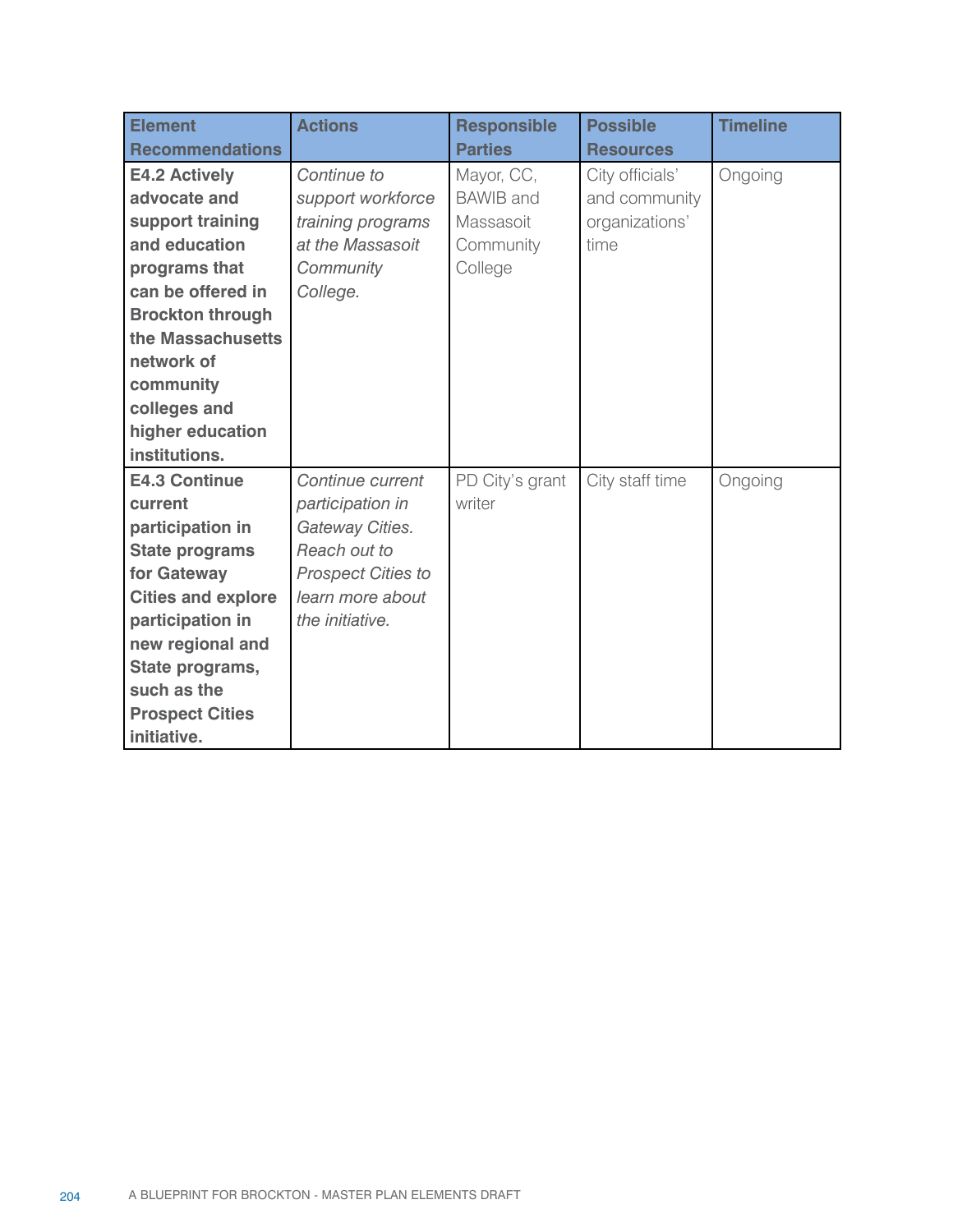| <b>Element</b>            | <b>Actions</b>            | <b>Responsible</b> | <b>Possible</b>  | <b>Timeline</b> |
|---------------------------|---------------------------|--------------------|------------------|-----------------|
| <b>Recommendations</b>    |                           | <b>Parties</b>     | <b>Resources</b> |                 |
| E4.2 Actively             | Continue to               | Mayor, CC,         | City officials'  | Ongoing         |
| advocate and              | support workforce         | <b>BAWIB</b> and   | and community    |                 |
| support training          | training programs         | Massasoit          | organizations'   |                 |
| and education             | at the Massasoit          | Community          | time             |                 |
| programs that             | Community                 | College            |                  |                 |
| can be offered in         | College.                  |                    |                  |                 |
| <b>Brockton through</b>   |                           |                    |                  |                 |
| the Massachusetts         |                           |                    |                  |                 |
| network of                |                           |                    |                  |                 |
| community                 |                           |                    |                  |                 |
| colleges and              |                           |                    |                  |                 |
| higher education          |                           |                    |                  |                 |
| institutions.             |                           |                    |                  |                 |
| <b>E4.3 Continue</b>      | Continue current          | PD City's grant    | City staff time  | Ongoing         |
| current                   | participation in          | writer             |                  |                 |
| participation in          | Gateway Cities.           |                    |                  |                 |
| <b>State programs</b>     | Reach out to              |                    |                  |                 |
| for Gateway               | <b>Prospect Cities to</b> |                    |                  |                 |
| <b>Cities and explore</b> | learn more about          |                    |                  |                 |
| participation in          | the initiative.           |                    |                  |                 |
| new regional and          |                           |                    |                  |                 |
| State programs,           |                           |                    |                  |                 |
| such as the               |                           |                    |                  |                 |
| <b>Prospect Cities</b>    |                           |                    |                  |                 |
| initiative.               |                           |                    |                  |                 |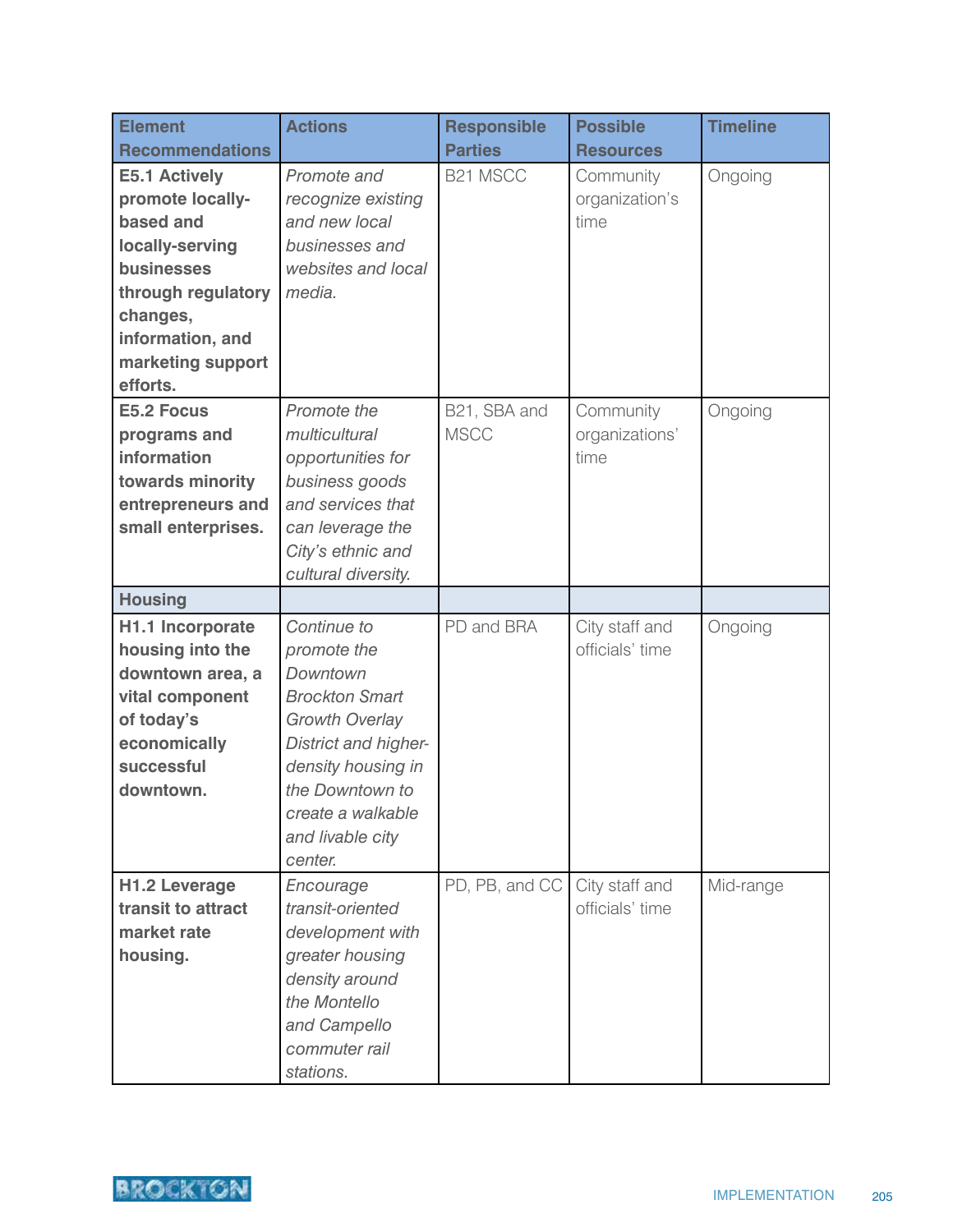| <b>Element</b>         | <b>Actions</b>        | <b>Responsible</b> | <b>Possible</b>  | <b>Timeline</b> |
|------------------------|-----------------------|--------------------|------------------|-----------------|
| <b>Recommendations</b> |                       | <b>Parties</b>     | <b>Resources</b> |                 |
| <b>E5.1 Actively</b>   | Promote and           | <b>B21 MSCC</b>    | Community        | Ongoing         |
| promote locally-       | recognize existing    |                    | organization's   |                 |
| based and              | and new local         |                    | time             |                 |
| locally-serving        | businesses and        |                    |                  |                 |
| businesses             | websites and local    |                    |                  |                 |
| through regulatory     | media.                |                    |                  |                 |
| changes,               |                       |                    |                  |                 |
| information, and       |                       |                    |                  |                 |
| marketing support      |                       |                    |                  |                 |
| efforts.               |                       |                    |                  |                 |
| <b>E5.2 Focus</b>      | Promote the           | B21, SBA and       | Community        | Ongoing         |
| programs and           | multicultural         | <b>MSCC</b>        | organizations'   |                 |
| information            | opportunities for     |                    | time             |                 |
| towards minority       | business goods        |                    |                  |                 |
| entrepreneurs and      | and services that     |                    |                  |                 |
| small enterprises.     | can leverage the      |                    |                  |                 |
|                        | City's ethnic and     |                    |                  |                 |
|                        | cultural diversity.   |                    |                  |                 |
| <b>Housing</b>         |                       |                    |                  |                 |
| H1.1 Incorporate       | Continue to           | PD and BRA         | City staff and   | Ongoing         |
| housing into the       | promote the           |                    | officials' time  |                 |
| downtown area, a       | Downtown              |                    |                  |                 |
| vital component        | <b>Brockton Smart</b> |                    |                  |                 |
| of today's             | <b>Growth Overlay</b> |                    |                  |                 |
| economically           | District and higher-  |                    |                  |                 |
| successful             | density housing in    |                    |                  |                 |
| downtown.              | the Downtown to       |                    |                  |                 |
|                        | create a walkable     |                    |                  |                 |
|                        | and livable city      |                    |                  |                 |
|                        | center.               |                    |                  |                 |
| <b>H1.2 Leverage</b>   | Encourage             | PD, PB, and CC     | City staff and   | Mid-range       |
| transit to attract     | transit-oriented      |                    | officials' time  |                 |
| market rate            | development with      |                    |                  |                 |
| housing.               | greater housing       |                    |                  |                 |
|                        | density around        |                    |                  |                 |
|                        | the Montello          |                    |                  |                 |
|                        | and Campello          |                    |                  |                 |
|                        | commuter rail         |                    |                  |                 |
|                        | stations.             |                    |                  |                 |

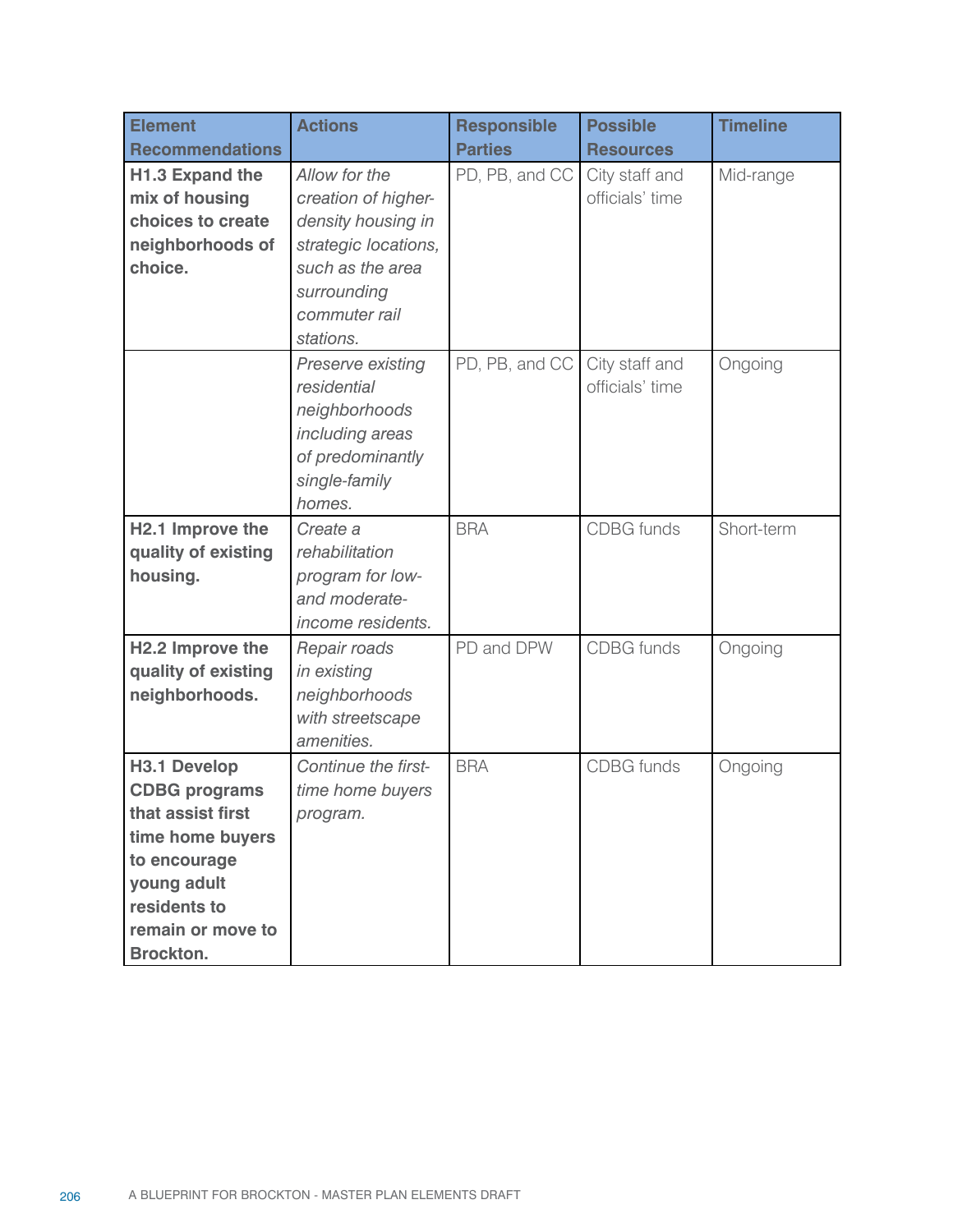| <b>Element</b><br><b>Recommendations</b>                                                                                                                              | <b>Actions</b>                                                                                                                                      | <b>Responsible</b><br><b>Parties</b> | <b>Possible</b><br><b>Resources</b> | <b>Timeline</b> |
|-----------------------------------------------------------------------------------------------------------------------------------------------------------------------|-----------------------------------------------------------------------------------------------------------------------------------------------------|--------------------------------------|-------------------------------------|-----------------|
| H1.3 Expand the<br>mix of housing<br>choices to create<br>neighborhoods of<br>choice.                                                                                 | Allow for the<br>creation of higher-<br>density housing in<br>strategic locations,<br>such as the area<br>surrounding<br>commuter rail<br>stations. | PD, PB, and CC                       | City staff and<br>officials' time   | Mid-range       |
|                                                                                                                                                                       | Preserve existing<br>residential<br>neighborhoods<br>including areas<br>of predominantly<br>single-family<br>homes.                                 | PD, PB, and CC                       | City staff and<br>officials' time   | Ongoing         |
| H2.1 Improve the<br>quality of existing<br>housing.                                                                                                                   | Create a<br>rehabilitation<br>program for low-<br>and moderate-<br>income residents.                                                                | <b>BRA</b>                           | <b>CDBG</b> funds                   | Short-term      |
| H2.2 Improve the<br>quality of existing<br>neighborhoods.                                                                                                             | Repair roads<br>in existing<br>neighborhoods<br>with streetscape<br>amenities.                                                                      | PD and DPW                           | <b>CDBG</b> funds                   | Ongoing         |
| <b>H3.1 Develop</b><br><b>CDBG programs</b><br>that assist first<br>time home buyers<br>to encourage<br>young adult<br>residents to<br>remain or move to<br>Brockton. | Continue the first-<br>time home buyers<br>program.                                                                                                 | <b>BRA</b>                           | <b>CDBG</b> funds                   | Ongoing         |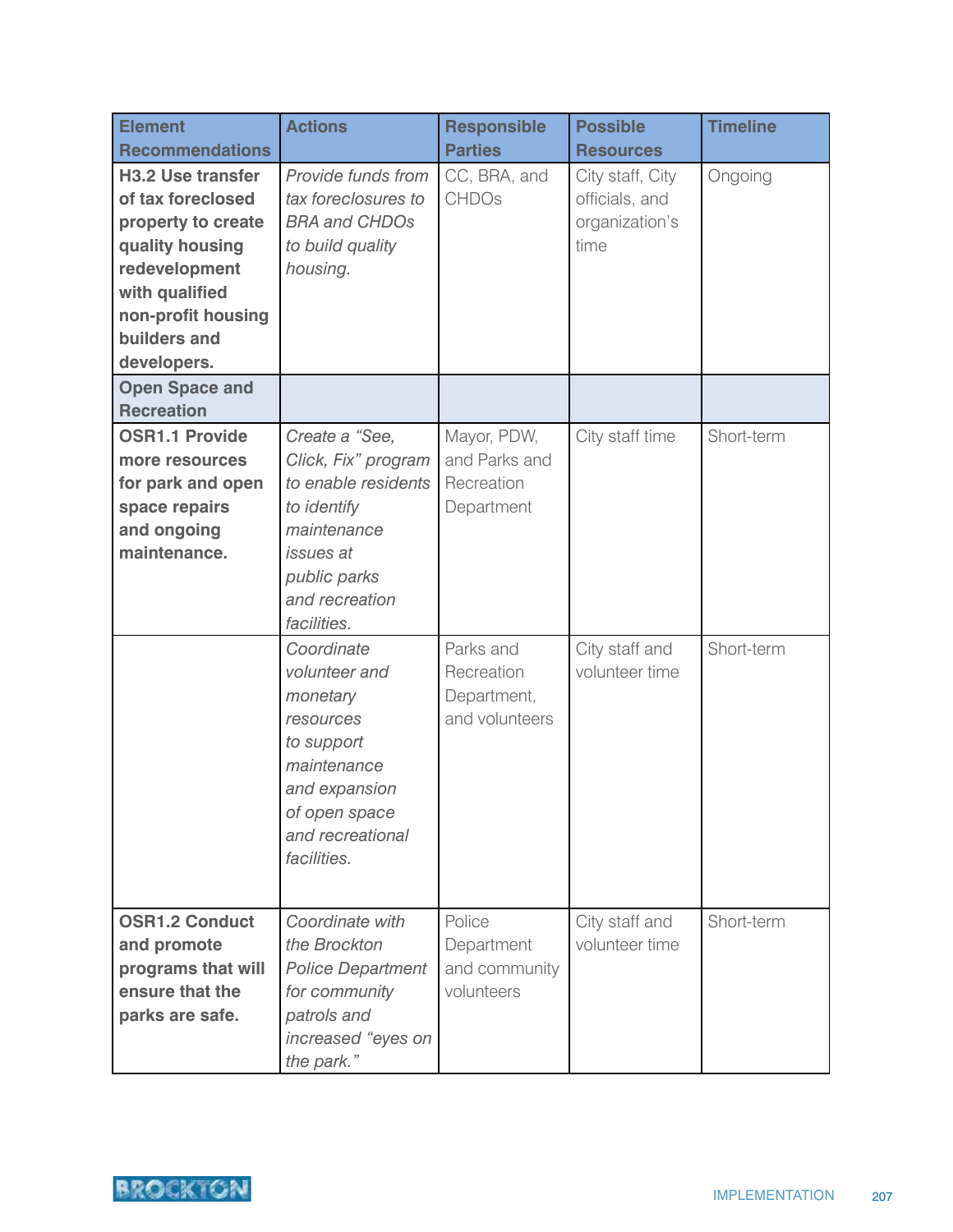| <b>Element</b><br><b>Recommendations</b>                                                                                                                                       | <b>Actions</b>                                                                                                                                           | <b>Responsible</b><br><b>Parties</b>                     | <b>Possible</b><br><b>Resources</b>                          | <b>Timeline</b> |
|--------------------------------------------------------------------------------------------------------------------------------------------------------------------------------|----------------------------------------------------------------------------------------------------------------------------------------------------------|----------------------------------------------------------|--------------------------------------------------------------|-----------------|
| <b>H3.2 Use transfer</b><br>of tax foreclosed<br>property to create<br>quality housing<br>redevelopment<br>with qualified<br>non-profit housing<br>builders and<br>developers. | Provide funds from<br>tax foreclosures to<br><b>BRA and CHDOs</b><br>to build quality<br>housing.                                                        | CC, BRA, and<br><b>CHDOs</b>                             | City staff, City<br>officials, and<br>organization's<br>time | Ongoing         |
| <b>Open Space and</b><br><b>Recreation</b>                                                                                                                                     |                                                                                                                                                          |                                                          |                                                              |                 |
| <b>OSR1.1 Provide</b><br>more resources<br>for park and open<br>space repairs<br>and ongoing<br>maintenance.                                                                   | Create a "See,<br>Click, Fix" program<br>to enable residents<br>to identify<br>maintenance<br>issues at<br>public parks<br>and recreation<br>facilities. | Mayor, PDW,<br>and Parks and<br>Recreation<br>Department | City staff time                                              | Short-term      |
|                                                                                                                                                                                | Coordinate<br>volunteer and<br>monetary<br>resources<br>to support<br>maintenance<br>and expansion<br>of open space<br>and recreational<br>facilities.   | Parks and<br>Recreation<br>Department,<br>and volunteers | City staff and<br>volunteer time                             | Short-term      |
| <b>OSR1.2 Conduct</b><br>and promote<br>programs that will<br>ensure that the<br>parks are safe.                                                                               | Coordinate with<br>the Brockton<br><b>Police Department</b><br>for community<br>patrols and<br>increased "eyes on<br>the park."                          | Police<br>Department<br>and community<br>volunteers      | City staff and<br>volunteer time                             | Short-term      |

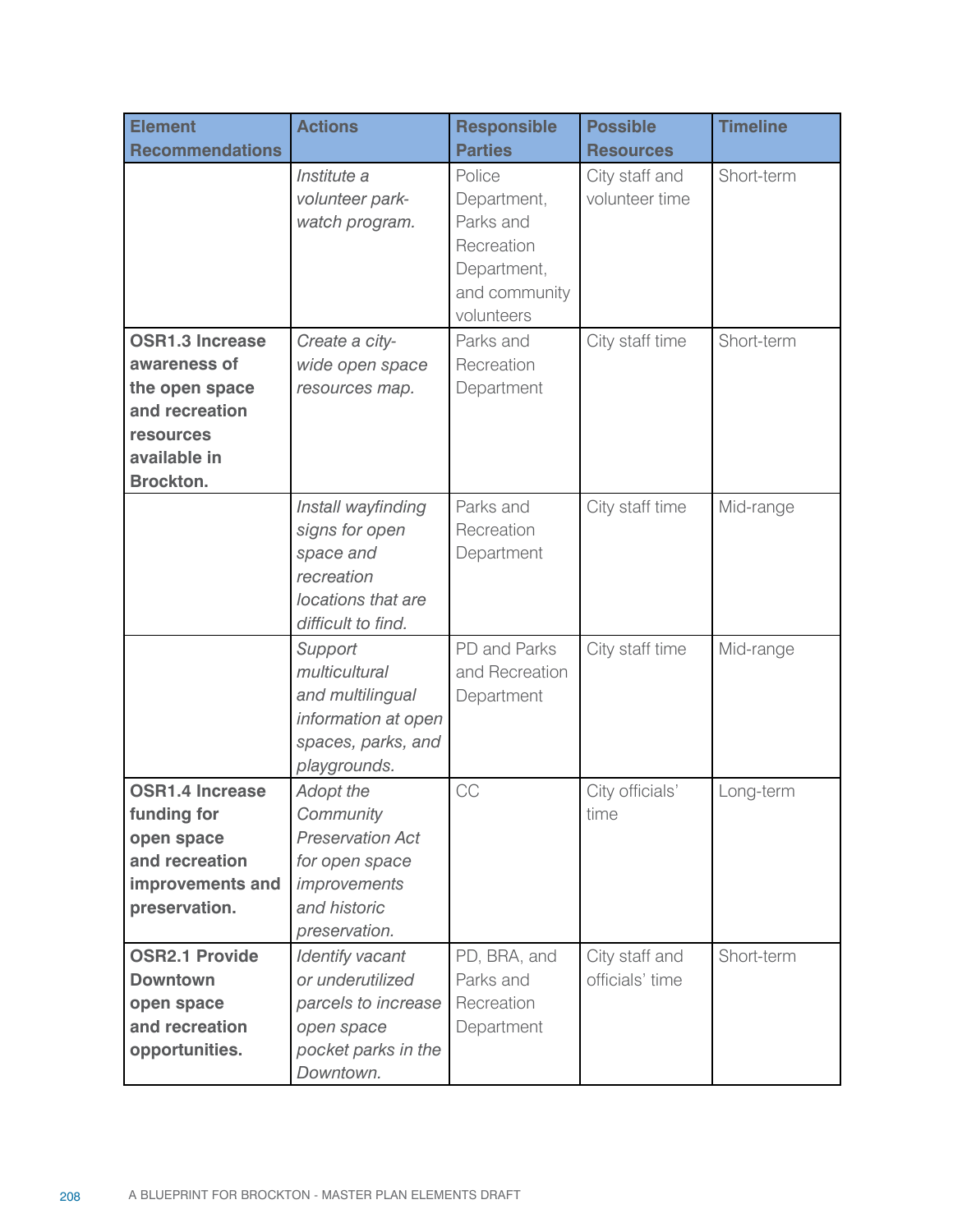| <b>Element</b>         | <b>Actions</b>                                                                                              | <b>Responsible</b>                                                                             | <b>Possible</b>                  | <b>Timeline</b> |
|------------------------|-------------------------------------------------------------------------------------------------------------|------------------------------------------------------------------------------------------------|----------------------------------|-----------------|
| <b>Recommendations</b> |                                                                                                             | <b>Parties</b>                                                                                 | <b>Resources</b>                 |                 |
|                        | Institute a<br>volunteer park-<br>watch program.                                                            | Police<br>Department,<br>Parks and<br>Recreation<br>Department,<br>and community<br>volunteers | City staff and<br>volunteer time | Short-term      |
| <b>OSR1.3 Increase</b> | Create a city-                                                                                              | Parks and                                                                                      | City staff time                  | Short-term      |
| awareness of           | wide open space                                                                                             | Recreation                                                                                     |                                  |                 |
| the open space         | resources map.                                                                                              | Department                                                                                     |                                  |                 |
| and recreation         |                                                                                                             |                                                                                                |                                  |                 |
| <b>resources</b>       |                                                                                                             |                                                                                                |                                  |                 |
| available in           |                                                                                                             |                                                                                                |                                  |                 |
| <b>Brockton.</b>       |                                                                                                             |                                                                                                |                                  |                 |
|                        | Install wayfinding<br>signs for open<br>space and<br>recreation<br>locations that are<br>difficult to find. | Parks and<br>Recreation<br>Department                                                          | City staff time                  | Mid-range       |
|                        | Support<br>multicultural<br>and multilingual<br>information at open<br>spaces, parks, and<br>playgrounds.   | PD and Parks<br>and Recreation<br>Department                                                   | City staff time                  | Mid-range       |
| <b>OSR1.4 Increase</b> | <b>Adopt the</b>                                                                                            | CC                                                                                             | City officials'                  | Long-term       |
| funding for            | Community                                                                                                   |                                                                                                | time                             |                 |
| open space             | <b>Preservation Act</b>                                                                                     |                                                                                                |                                  |                 |
| and recreation         | for open space                                                                                              |                                                                                                |                                  |                 |
| improvements and       | improvements                                                                                                |                                                                                                |                                  |                 |
| preservation.          | and historic                                                                                                |                                                                                                |                                  |                 |
|                        | preservation.                                                                                               |                                                                                                |                                  |                 |
| <b>OSR2.1 Provide</b>  | Identify vacant                                                                                             | PD, BRA, and                                                                                   | City staff and                   | Short-term      |
| <b>Downtown</b>        | or underutilized                                                                                            | Parks and                                                                                      | officials' time                  |                 |
| open space             | parcels to increase                                                                                         | Recreation                                                                                     |                                  |                 |
| and recreation         | open space                                                                                                  | Department                                                                                     |                                  |                 |
| opportunities.         | pocket parks in the<br>Downtown.                                                                            |                                                                                                |                                  |                 |
|                        |                                                                                                             |                                                                                                |                                  |                 |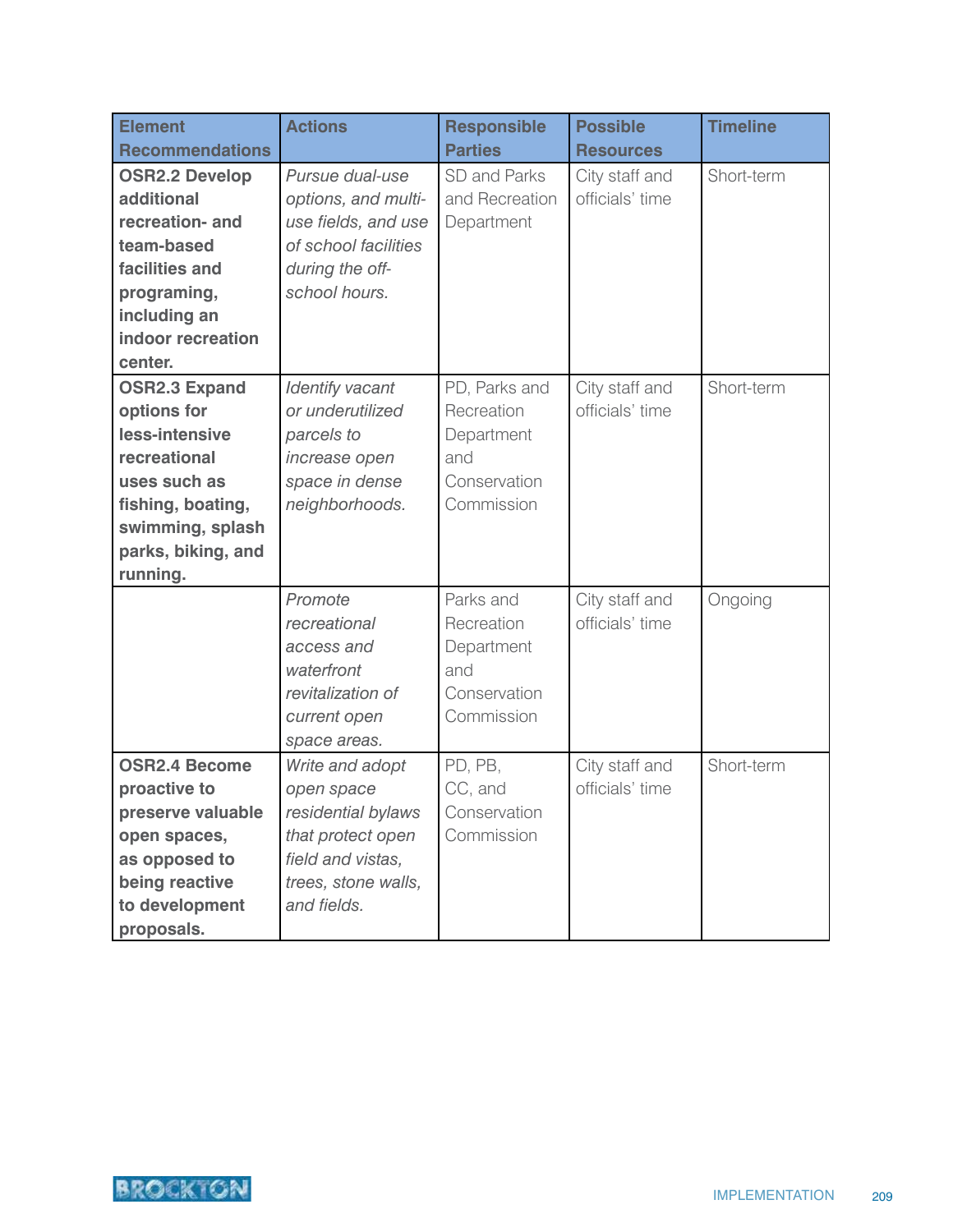| <b>Element</b>         | <b>Actions</b>       | <b>Responsible</b> | <b>Possible</b>  | <b>Timeline</b> |
|------------------------|----------------------|--------------------|------------------|-----------------|
| <b>Recommendations</b> |                      | <b>Parties</b>     | <b>Resources</b> |                 |
| <b>OSR2.2 Develop</b>  | Pursue dual-use      | SD and Parks       | City staff and   | Short-term      |
| additional             | options, and multi-  | and Recreation     | officials' time  |                 |
| recreation- and        | use fields, and use  | Department         |                  |                 |
| team-based             | of school facilities |                    |                  |                 |
| facilities and         | during the off-      |                    |                  |                 |
| programing,            | school hours.        |                    |                  |                 |
| including an           |                      |                    |                  |                 |
| indoor recreation      |                      |                    |                  |                 |
| center.                |                      |                    |                  |                 |
| <b>OSR2.3 Expand</b>   | Identify vacant      | PD, Parks and      | City staff and   | Short-term      |
| options for            | or underutilized     | Recreation         | officials' time  |                 |
| less-intensive         | parcels to           | Department         |                  |                 |
| recreational           | increase open        | and                |                  |                 |
| uses such as           | space in dense       | Conservation       |                  |                 |
| fishing, boating,      | neighborhoods.       | Commission         |                  |                 |
| swimming, splash       |                      |                    |                  |                 |
| parks, biking, and     |                      |                    |                  |                 |
| running.               |                      |                    |                  |                 |
|                        | Promote              | Parks and          | City staff and   | Ongoing         |
|                        | recreational         | Recreation         | officials' time  |                 |
|                        | access and           | Department         |                  |                 |
|                        | waterfront           | and                |                  |                 |
|                        | revitalization of    | Conservation       |                  |                 |
|                        | current open         | Commission         |                  |                 |
|                        | space areas.         |                    |                  |                 |
| <b>OSR2.4 Become</b>   | Write and adopt      | PD, PB,            | City staff and   | Short-term      |
| proactive to           | open space           | CC, and            | officials' time  |                 |
| preserve valuable      | residential bylaws   | Conservation       |                  |                 |
| open spaces,           | that protect open    | Commission         |                  |                 |
| as opposed to          | field and vistas,    |                    |                  |                 |
| being reactive         | trees, stone walls,  |                    |                  |                 |
| to development         | and fields.          |                    |                  |                 |
| proposals.             |                      |                    |                  |                 |

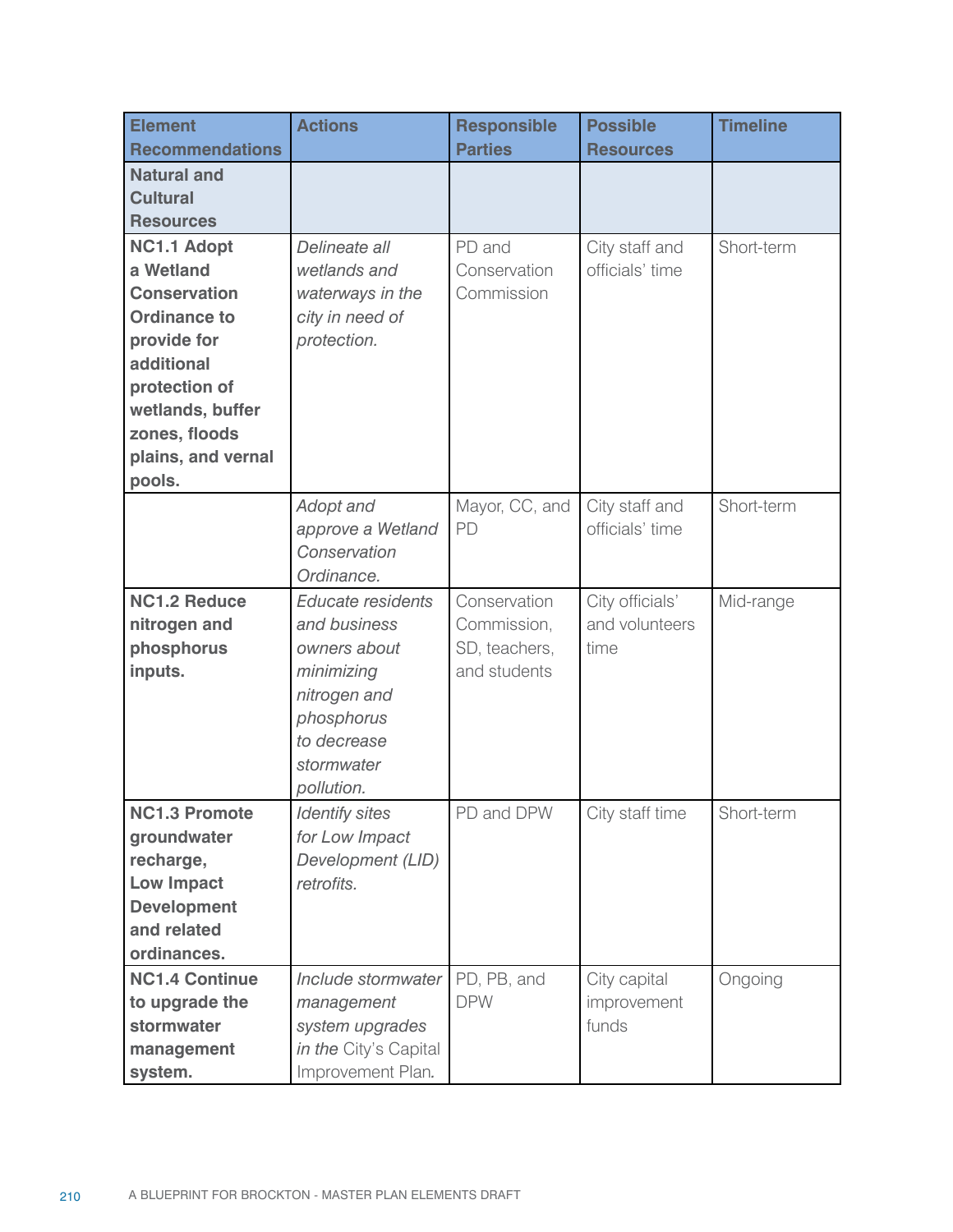| <b>Element</b>                    | <b>Actions</b>                           | <b>Responsible</b>        | <b>Possible</b>      | <b>Timeline</b> |
|-----------------------------------|------------------------------------------|---------------------------|----------------------|-----------------|
| <b>Recommendations</b>            |                                          | <b>Parties</b>            | <b>Resources</b>     |                 |
| <b>Natural and</b>                |                                          |                           |                      |                 |
| <b>Cultural</b>                   |                                          |                           |                      |                 |
| <b>Resources</b>                  |                                          |                           |                      |                 |
| <b>NC1.1 Adopt</b>                | Delineate all                            | PD and                    | City staff and       | Short-term      |
| a Wetland                         | wetlands and                             | Conservation              | officials' time      |                 |
| <b>Conservation</b>               | waterways in the                         | Commission                |                      |                 |
| <b>Ordinance to</b>               | city in need of                          |                           |                      |                 |
| provide for                       | protection.                              |                           |                      |                 |
| additional                        |                                          |                           |                      |                 |
| protection of                     |                                          |                           |                      |                 |
| wetlands, buffer                  |                                          |                           |                      |                 |
| zones, floods                     |                                          |                           |                      |                 |
| plains, and vernal                |                                          |                           |                      |                 |
| pools.                            |                                          |                           |                      |                 |
|                                   | Adopt and                                | Mayor, CC, and            | City staff and       | Short-term      |
|                                   | approve a Wetland                        | PD                        | officials' time      |                 |
|                                   | Conservation                             |                           |                      |                 |
|                                   | Ordinance.                               |                           |                      |                 |
| <b>NC1.2 Reduce</b>               | Educate residents                        | Conservation              | City officials'      | Mid-range       |
| nitrogen and                      | and business                             | Commission,               | and volunteers       |                 |
| phosphorus                        | owners about                             | SD, teachers,             | time                 |                 |
| inputs.                           | minimizing                               | and students              |                      |                 |
|                                   | nitrogen and                             |                           |                      |                 |
|                                   | phosphorus                               |                           |                      |                 |
|                                   | to decrease                              |                           |                      |                 |
|                                   | stormwater                               |                           |                      |                 |
|                                   | pollution.                               |                           |                      |                 |
| <b>NC1.3 Promote</b>              | <b>Identify sites</b>                    | PD and DPW                | City staff time      | Short-term      |
| groundwater                       | for Low Impact                           |                           |                      |                 |
| recharge,                         | Development (LID)<br>retrofits.          |                           |                      |                 |
| <b>Low Impact</b>                 |                                          |                           |                      |                 |
| <b>Development</b><br>and related |                                          |                           |                      |                 |
| ordinances.                       |                                          |                           |                      |                 |
| <b>NC1.4 Continue</b>             | Include stormwater                       |                           |                      |                 |
|                                   | management                               | PD, PB, and<br><b>DPW</b> | City capital         | Ongoing         |
| to upgrade the<br>stormwater      |                                          |                           | improvement<br>funds |                 |
|                                   | system upgrades<br>in the City's Capital |                           |                      |                 |
| management                        |                                          |                           |                      |                 |
| system.                           | Improvement Plan.                        |                           |                      |                 |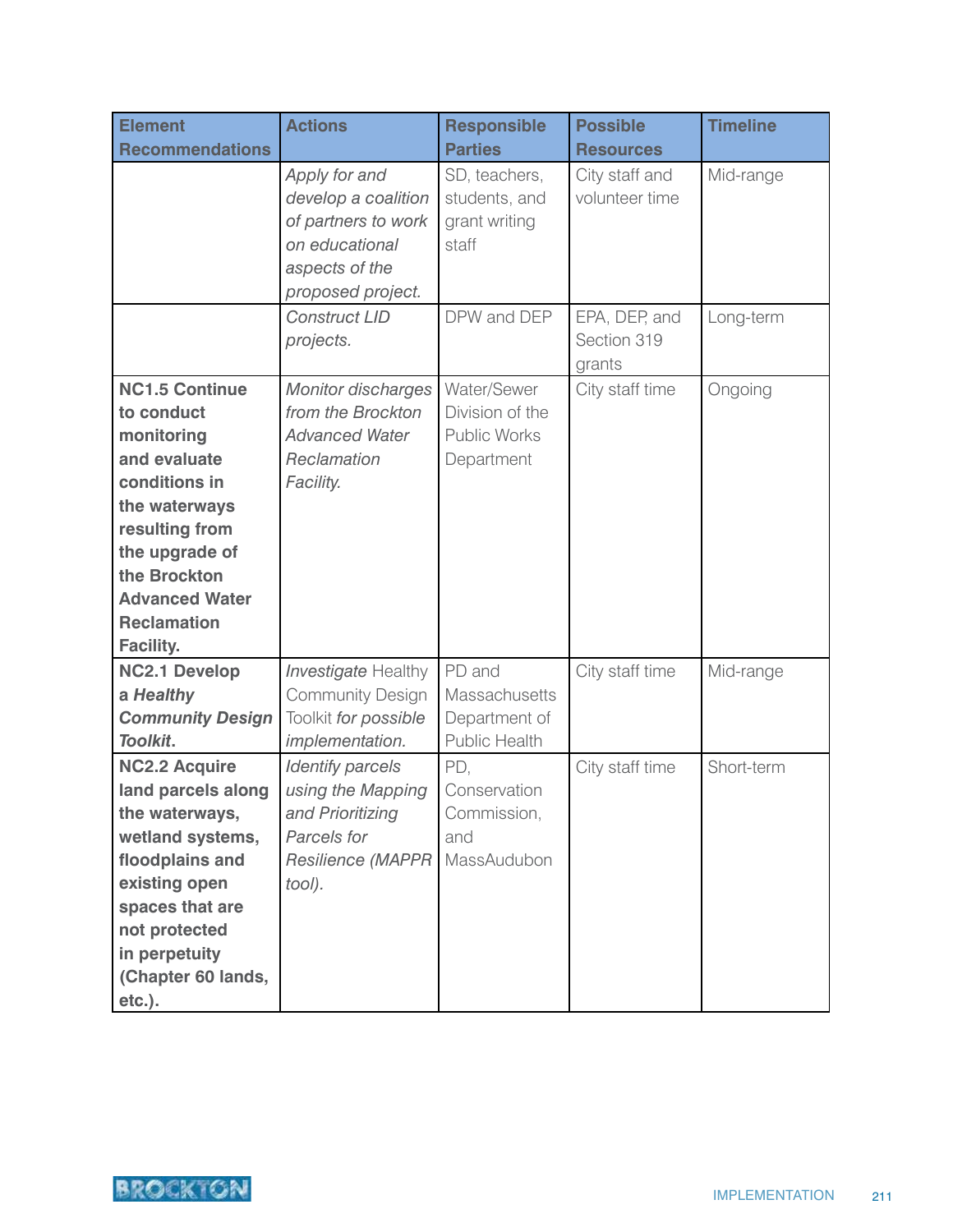| <b>Element</b>                                                                                                                                                                                                             | <b>Actions</b>                                                                                                       | <b>Responsible</b>                                                  | <b>Possible</b>                        | <b>Timeline</b> |
|----------------------------------------------------------------------------------------------------------------------------------------------------------------------------------------------------------------------------|----------------------------------------------------------------------------------------------------------------------|---------------------------------------------------------------------|----------------------------------------|-----------------|
| <b>Recommendations</b>                                                                                                                                                                                                     |                                                                                                                      | <b>Parties</b>                                                      | <b>Resources</b>                       |                 |
|                                                                                                                                                                                                                            | Apply for and<br>develop a coalition<br>of partners to work<br>on educational<br>aspects of the<br>proposed project. | SD, teachers,<br>students, and<br>grant writing<br>staff            | City staff and<br>volunteer time       | Mid-range       |
|                                                                                                                                                                                                                            | <b>Construct LID</b><br>projects.                                                                                    | DPW and DEP                                                         | EPA, DEP, and<br>Section 319<br>grants | Long-term       |
| <b>NC1.5 Continue</b><br>to conduct<br>monitoring<br>and evaluate<br>conditions in<br>the waterways<br>resulting from<br>the upgrade of<br>the Brockton<br><b>Advanced Water</b><br><b>Reclamation</b><br><b>Facility.</b> | <b>Monitor discharges</b><br>from the Brockton<br><b>Advanced Water</b><br>Reclamation<br>Facility.                  | Water/Sewer<br>Division of the<br><b>Public Works</b><br>Department | City staff time                        | Ongoing         |
| <b>NC2.1 Develop</b><br>a Healthy<br><b>Community Design</b><br>Toolkit.                                                                                                                                                   | <b>Investigate Healthy</b><br><b>Community Design</b><br>Toolkit for possible<br>implementation.                     | PD and<br>Massachusetts<br>Department of<br><b>Public Health</b>    | City staff time                        | Mid-range       |
| <b>NC2.2 Acquire</b><br>land parcels along<br>the waterways,<br>wetland systems,<br>floodplains and<br>existing open<br>spaces that are<br>not protected<br>in perpetuity<br>(Chapter 60 lands,<br>etc.).                  | <b>Identify parcels</b><br>using the Mapping<br>and Prioritizing<br>Parcels for<br>Resilience (MAPPR<br>tool).       | PD.<br>Conservation<br>Commission,<br>and<br>MassAudubon            | City staff time                        | Short-term      |

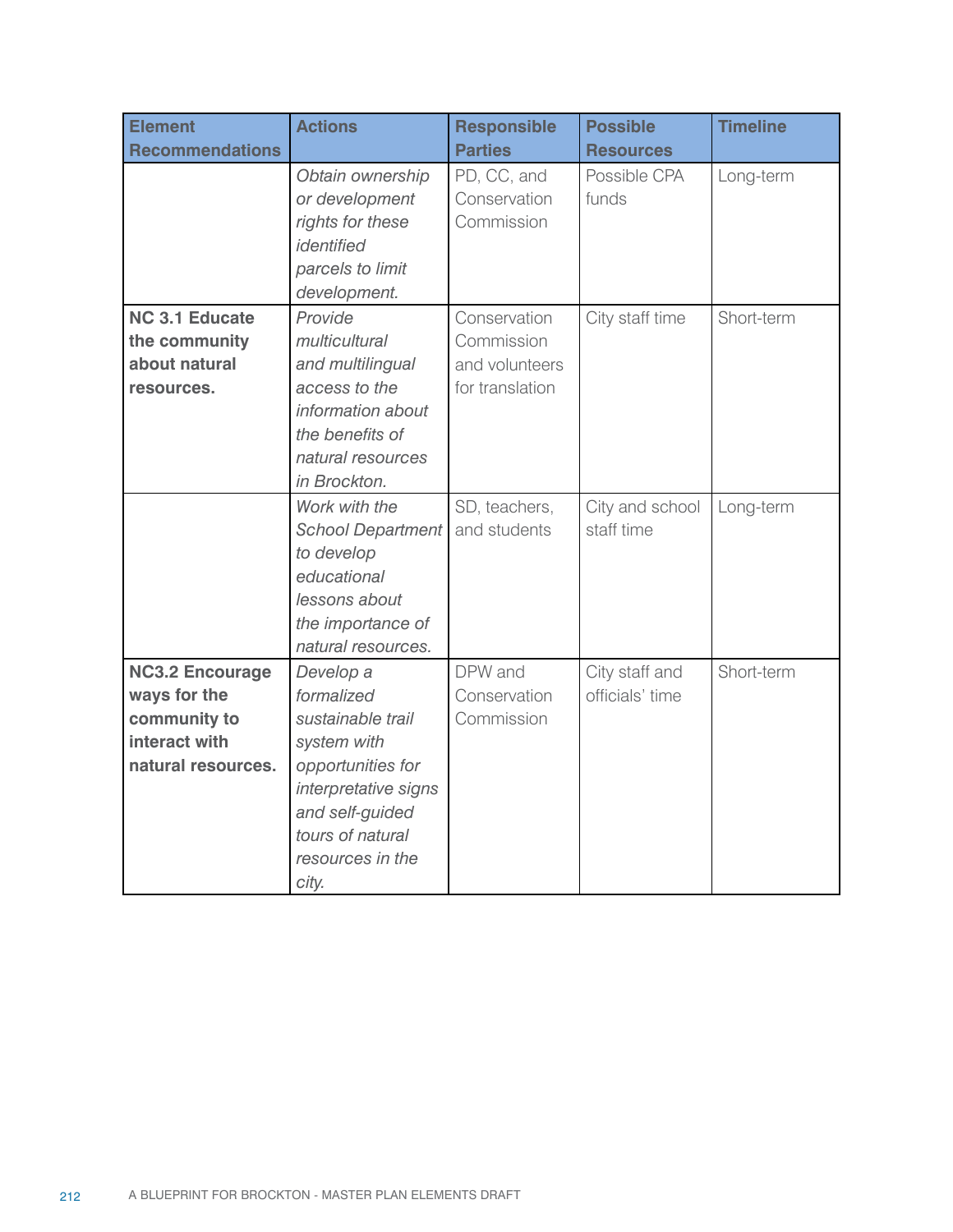| <b>Element</b>                                                                                | <b>Actions</b>                                                                                                                                                               | <b>Responsible</b>                                              | <b>Possible</b>                   | <b>Timeline</b> |
|-----------------------------------------------------------------------------------------------|------------------------------------------------------------------------------------------------------------------------------------------------------------------------------|-----------------------------------------------------------------|-----------------------------------|-----------------|
| <b>Recommendations</b>                                                                        |                                                                                                                                                                              | <b>Parties</b>                                                  | <b>Resources</b>                  |                 |
|                                                                                               | Obtain ownership<br>or development<br>rights for these<br>identified<br>parcels to limit<br>development.                                                                     | PD, CC, and<br>Conservation<br>Commission                       | Possible CPA<br>funds             | Long-term       |
| <b>NC 3.1 Educate</b><br>the community<br>about natural<br>resources.                         | Provide<br>multicultural<br>and multilingual<br>access to the<br>information about<br>the benefits of<br>natural resources<br>in Brockton.                                   | Conservation<br>Commission<br>and volunteers<br>for translation | City staff time                   | Short-term      |
|                                                                                               | Work with the<br><b>School Department</b><br>to develop<br>educational<br>lessons about<br>the importance of<br>natural resources.                                           | SD, teachers,<br>and students                                   | City and school<br>staff time     | Long-term       |
| <b>NC3.2 Encourage</b><br>ways for the<br>community to<br>interact with<br>natural resources. | Develop a<br>formalized<br>sustainable trail<br>system with<br>opportunities for<br>interpretative signs<br>and self-guided<br>tours of natural<br>resources in the<br>city. | DPW and<br>Conservation<br>Commission                           | City staff and<br>officials' time | Short-term      |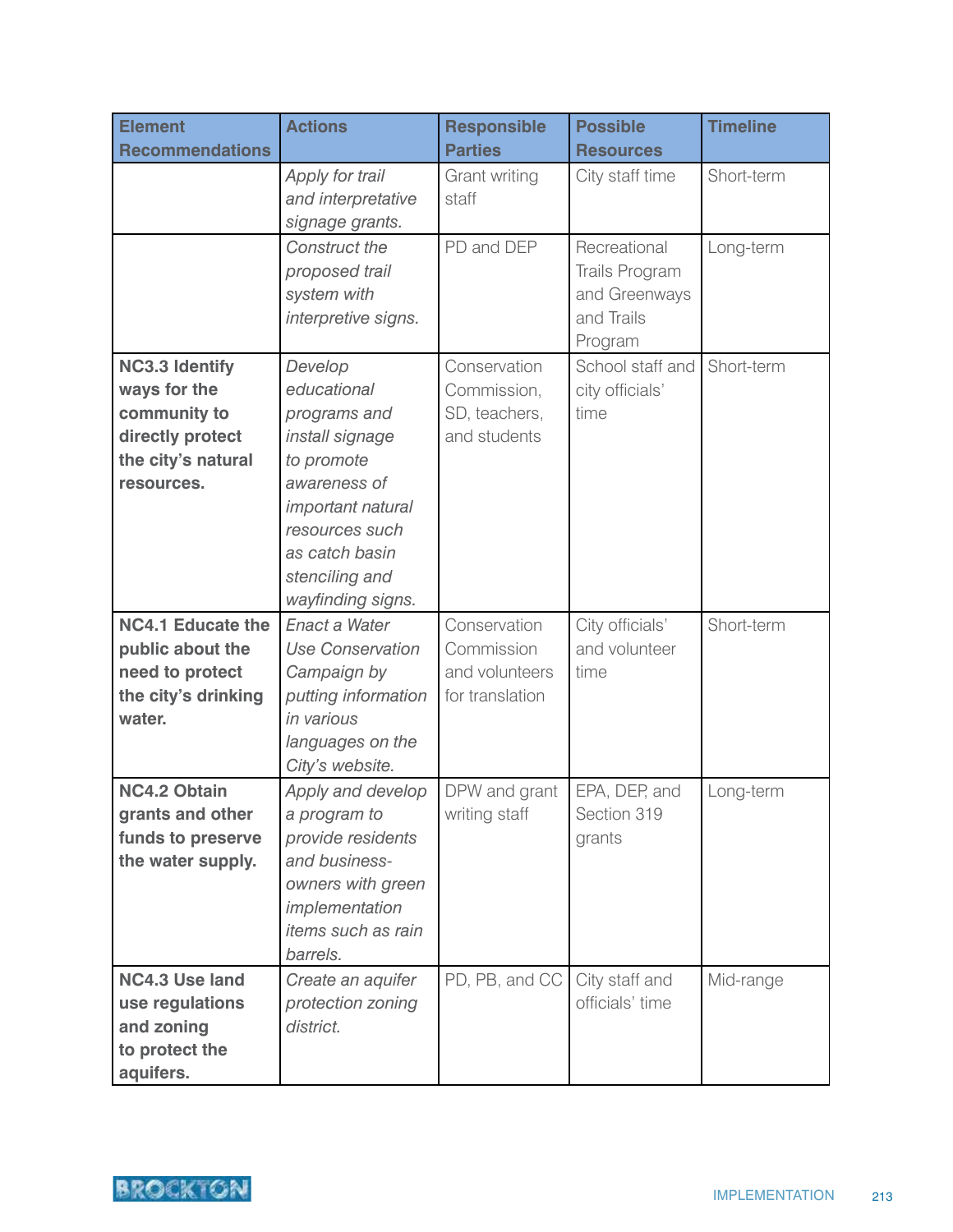| <b>Element</b>           | <b>Actions</b>                              | <b>Responsible</b> | <b>Possible</b>                   | <b>Timeline</b> |
|--------------------------|---------------------------------------------|--------------------|-----------------------------------|-----------------|
| <b>Recommendations</b>   |                                             | <b>Parties</b>     | <b>Resources</b>                  |                 |
|                          | Apply for trail                             | Grant writing      | City staff time                   | Short-term      |
|                          | and interpretative                          | staff              |                                   |                 |
|                          | signage grants.                             |                    |                                   |                 |
|                          | Construct the                               | PD and DEP         | Recreational                      | Long-term       |
|                          | proposed trail                              |                    | <b>Trails Program</b>             |                 |
|                          | system with                                 |                    | and Greenways                     |                 |
|                          | interpretive signs.                         |                    | and Trails                        |                 |
|                          |                                             |                    | Program                           |                 |
| <b>NC3.3 Identify</b>    | Develop                                     | Conservation       | School staff and                  | Short-term      |
| ways for the             | educational                                 | Commission,        | city officials'                   |                 |
| community to             | programs and                                | SD, teachers,      | time                              |                 |
| directly protect         | install signage                             | and students       |                                   |                 |
| the city's natural       | to promote                                  |                    |                                   |                 |
| resources.               | awareness of                                |                    |                                   |                 |
|                          | <i>important natural</i>                    |                    |                                   |                 |
|                          | resources such                              |                    |                                   |                 |
|                          | as catch basin                              |                    |                                   |                 |
|                          | stenciling and                              |                    |                                   |                 |
|                          | wayfinding signs.                           |                    |                                   |                 |
| <b>NC4.1 Educate the</b> | Enact a Water                               | Conservation       | City officials'                   | Short-term      |
| public about the         | <b>Use Conservation</b>                     | Commission         | and volunteer                     |                 |
| need to protect          | Campaign by                                 | and volunteers     | time                              |                 |
| the city's drinking      | putting information                         | for translation    |                                   |                 |
| water.                   | in various                                  |                    |                                   |                 |
|                          | languages on the                            |                    |                                   |                 |
|                          | City's website.                             |                    |                                   |                 |
| <b>NC4.2 Obtain</b>      | Apply and develop                           | DPW and grant      | EPA, DEP, and                     | Long-term       |
| grants and other         | a program to                                | writing staff      | Section 319                       |                 |
| funds to preserve        | provide residents                           |                    | grants                            |                 |
| the water supply.        | and business-                               |                    |                                   |                 |
|                          | owners with green                           |                    |                                   |                 |
|                          | implementation<br><i>items such as rain</i> |                    |                                   |                 |
|                          | barrels.                                    |                    |                                   |                 |
|                          |                                             |                    |                                   |                 |
| <b>NC4.3 Use land</b>    | Create an aquifer                           | PD, PB, and CC     | City staff and<br>officials' time | Mid-range       |
| use regulations          | protection zoning<br>district.              |                    |                                   |                 |
| and zoning               |                                             |                    |                                   |                 |
| to protect the           |                                             |                    |                                   |                 |
| aquifers.                |                                             |                    |                                   |                 |

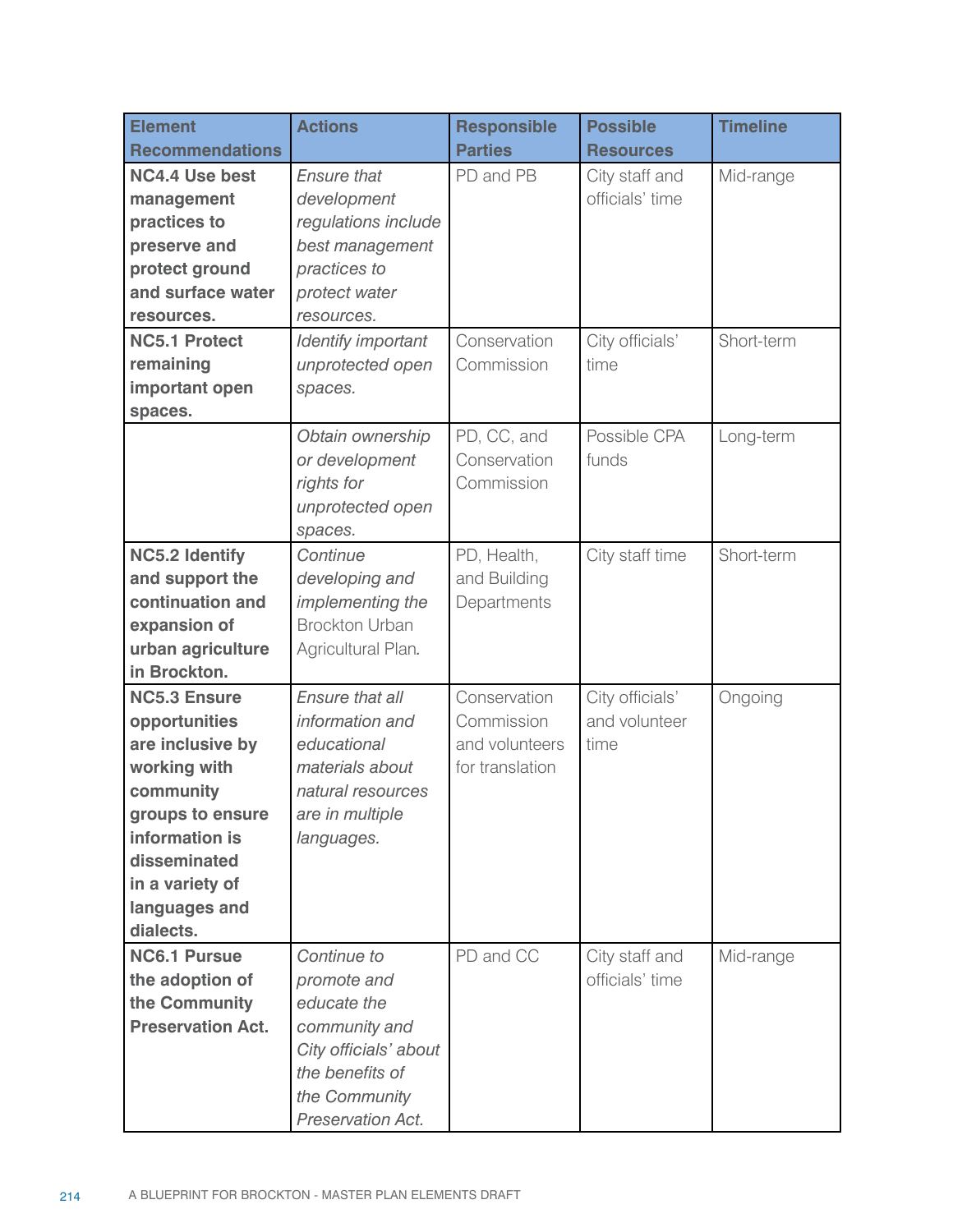| <b>Element</b>                      | <b>Actions</b>                                   | <b>Responsible</b><br><b>Parties</b> | <b>Possible</b>                   | <b>Timeline</b> |
|-------------------------------------|--------------------------------------------------|--------------------------------------|-----------------------------------|-----------------|
| <b>Recommendations</b>              |                                                  |                                      | <b>Resources</b>                  |                 |
| <b>NC4.4 Use best</b>               | <b>Ensure that</b>                               | PD and PB                            | City staff and<br>officials' time | Mid-range       |
| management<br>practices to          | development                                      |                                      |                                   |                 |
|                                     | regulations include                              |                                      |                                   |                 |
| preserve and                        | best management                                  |                                      |                                   |                 |
| protect ground                      | practices to                                     |                                      |                                   |                 |
| and surface water                   | protect water                                    |                                      |                                   |                 |
| resources.                          | resources.                                       |                                      |                                   |                 |
| <b>NC5.1 Protect</b>                | Identify important                               | Conservation                         | City officials'                   | Short-term      |
| remaining                           | unprotected open                                 | Commission                           | time                              |                 |
| important open                      | spaces.                                          |                                      |                                   |                 |
| spaces.                             |                                                  |                                      |                                   |                 |
|                                     | Obtain ownership                                 | PD, CC, and                          | Possible CPA                      | Long-term       |
|                                     | or development                                   | Conservation                         | funds                             |                 |
|                                     | rights for                                       | Commission                           |                                   |                 |
|                                     | unprotected open                                 |                                      |                                   |                 |
|                                     | spaces.<br>Continue                              |                                      |                                   |                 |
| <b>NC5.2 Identify</b>               |                                                  | PD, Health,                          | City staff time                   | Short-term      |
| and support the<br>continuation and | developing and                                   | and Building                         |                                   |                 |
|                                     | <i>implementing the</i><br><b>Brockton Urban</b> | Departments                          |                                   |                 |
| expansion of                        |                                                  |                                      |                                   |                 |
| urban agriculture<br>in Brockton.   | Agricultural Plan.                               |                                      |                                   |                 |
| <b>NC5.3 Ensure</b>                 | Ensure that all                                  | Conservation                         |                                   |                 |
|                                     | information and                                  | Commission                           | City officials'<br>and volunteer  | Ongoing         |
| opportunities<br>are inclusive by   | educational                                      | and volunteers                       | time                              |                 |
| working with                        | materials about                                  | for translation                      |                                   |                 |
| community                           | natural resources                                |                                      |                                   |                 |
| groups to ensure                    | are in multiple                                  |                                      |                                   |                 |
| information is                      | languages.                                       |                                      |                                   |                 |
| disseminated                        |                                                  |                                      |                                   |                 |
| in a variety of                     |                                                  |                                      |                                   |                 |
| languages and                       |                                                  |                                      |                                   |                 |
| dialects.                           |                                                  |                                      |                                   |                 |
| <b>NC6.1 Pursue</b>                 | Continue to                                      | PD and CC                            | City staff and                    | Mid-range       |
| the adoption of                     | promote and                                      |                                      | officials' time                   |                 |
| the Community                       | educate the                                      |                                      |                                   |                 |
| <b>Preservation Act.</b>            | community and                                    |                                      |                                   |                 |
|                                     | City officials' about                            |                                      |                                   |                 |
|                                     | the benefits of                                  |                                      |                                   |                 |
|                                     | the Community                                    |                                      |                                   |                 |
|                                     | Preservation Act.                                |                                      |                                   |                 |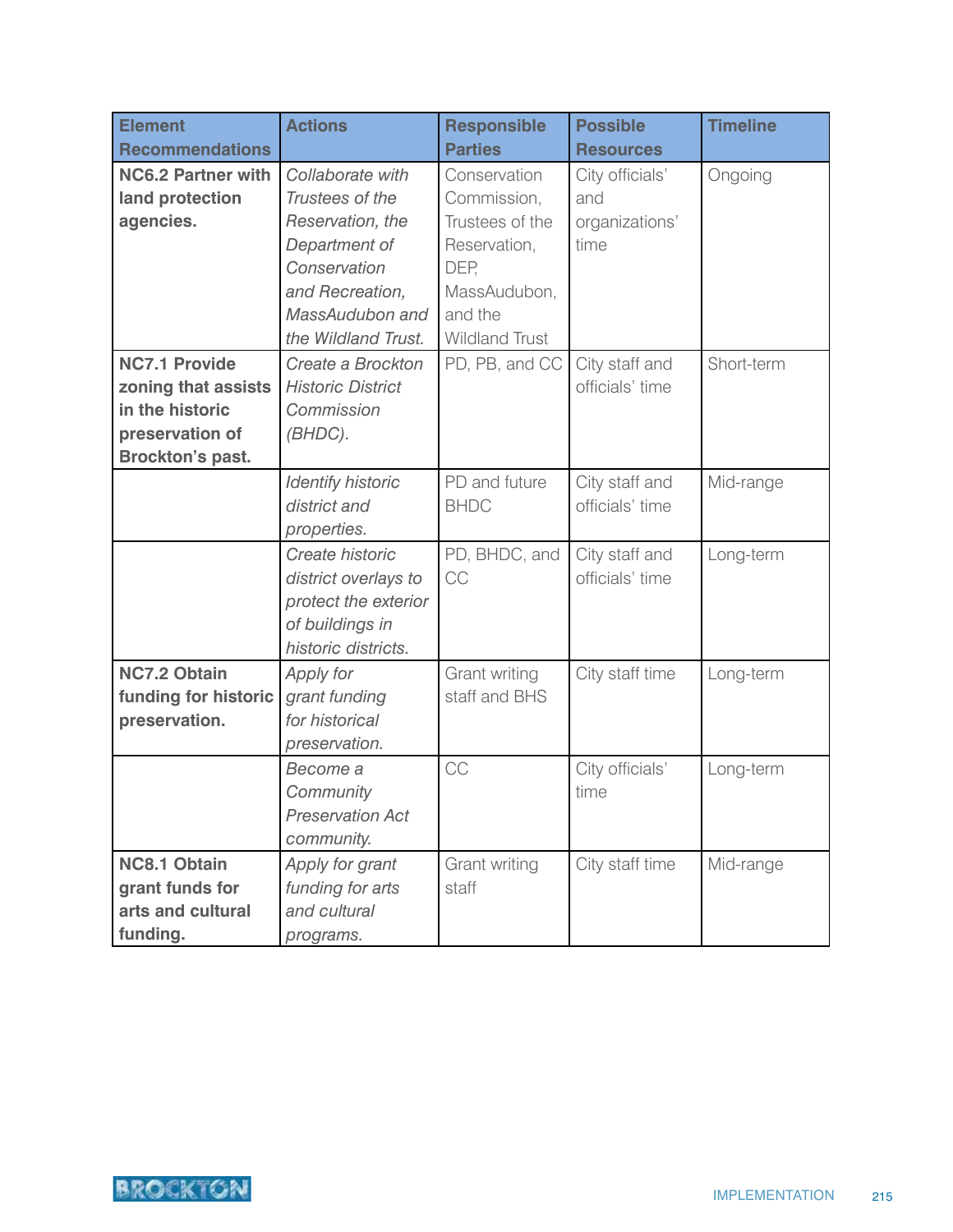| <b>Element</b>            | <b>Actions</b>           | <b>Responsible</b>    | <b>Possible</b>  | <b>Timeline</b> |
|---------------------------|--------------------------|-----------------------|------------------|-----------------|
| <b>Recommendations</b>    |                          | <b>Parties</b>        | <b>Resources</b> |                 |
| <b>NC6.2 Partner with</b> | Collaborate with         | Conservation          | City officials'  | Ongoing         |
| land protection           | Trustees of the          | Commission,           | and              |                 |
| agencies.                 | Reservation, the         | Trustees of the       | organizations'   |                 |
|                           | Department of            | Reservation,          | time             |                 |
|                           | Conservation             | DEP,                  |                  |                 |
|                           | and Recreation,          | MassAudubon,          |                  |                 |
|                           | MassAudubon and          | and the               |                  |                 |
|                           | the Wildland Trust.      | <b>Wildland Trust</b> |                  |                 |
| <b>NC7.1 Provide</b>      | Create a Brockton        | PD, PB, and CC        | City staff and   | Short-term      |
| zoning that assists       | <b>Historic District</b> |                       | officials' time  |                 |
| in the historic           | Commission               |                       |                  |                 |
| preservation of           | (BHDC).                  |                       |                  |                 |
| <b>Brockton's past.</b>   |                          |                       |                  |                 |
|                           | <b>Identify historic</b> | PD and future         | City staff and   | Mid-range       |
|                           | district and             | <b>BHDC</b>           | officials' time  |                 |
|                           | properties.              |                       |                  |                 |
|                           | Create historic          | PD, BHDC, and         | City staff and   | Long-term       |
|                           | district overlays to     | CC                    | officials' time  |                 |
|                           | protect the exterior     |                       |                  |                 |
|                           | of buildings in          |                       |                  |                 |
|                           | historic districts.      |                       |                  |                 |
| <b>NC7.2 Obtain</b>       | Apply for                | Grant writing         | City staff time  | Long-term       |
| funding for historic      | grant funding            | staff and BHS         |                  |                 |
| preservation.             | for historical           |                       |                  |                 |
|                           | preservation.            |                       |                  |                 |
|                           | Become a                 | CC                    | City officials'  | Long-term       |
|                           | Community                |                       | time             |                 |
|                           | <b>Preservation Act</b>  |                       |                  |                 |
|                           | community.               |                       |                  |                 |
| <b>NC8.1 Obtain</b>       | Apply for grant          | Grant writing         | City staff time  | Mid-range       |
| grant funds for           | funding for arts         | staff                 |                  |                 |
| arts and cultural         | and cultural             |                       |                  |                 |
| funding.                  | programs.                |                       |                  |                 |

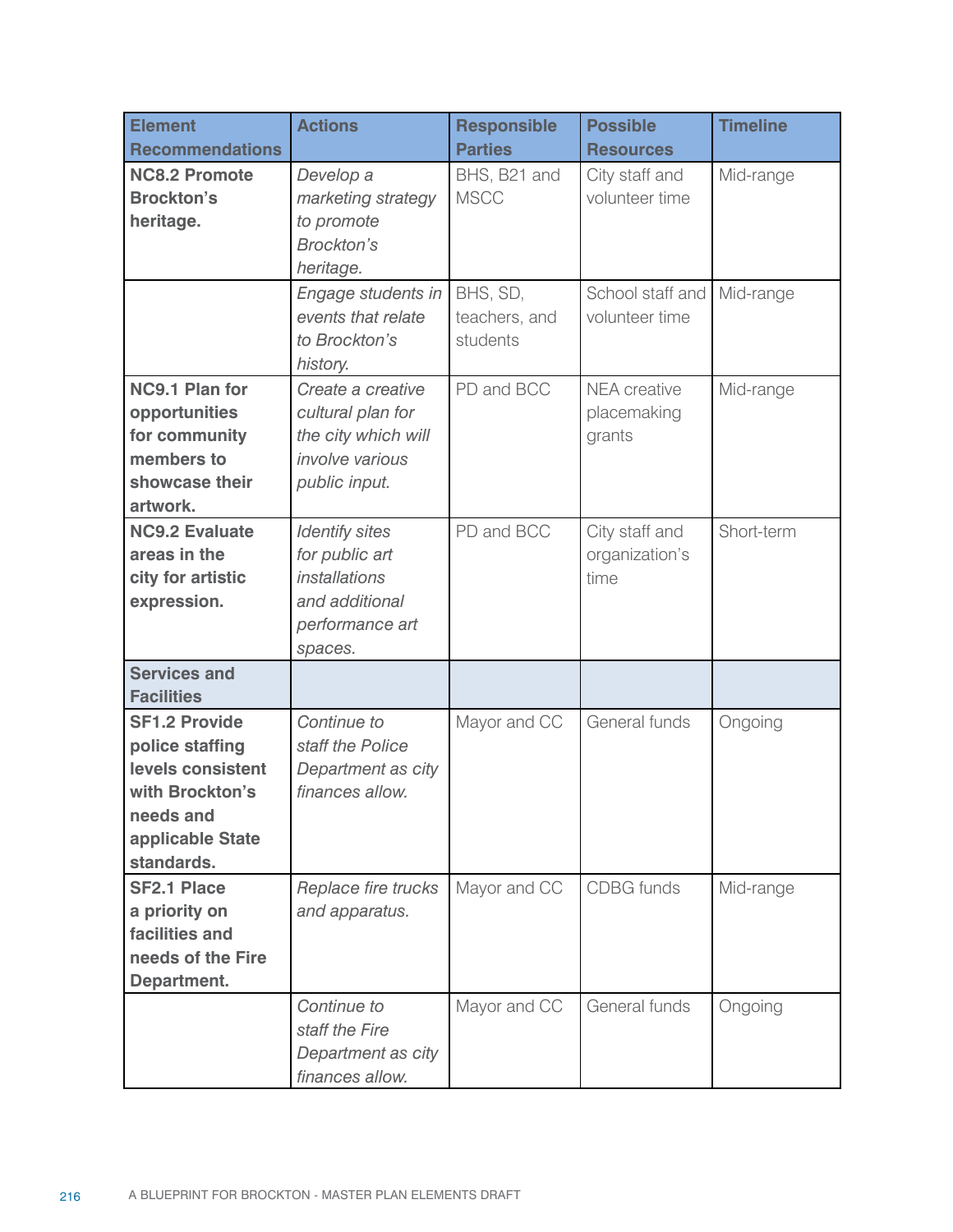| <b>Element</b><br><b>Recommendations</b> | <b>Actions</b>                   | <b>Responsible</b><br><b>Parties</b> | <b>Possible</b><br><b>Resources</b> | <b>Timeline</b> |
|------------------------------------------|----------------------------------|--------------------------------------|-------------------------------------|-----------------|
| <b>NC8.2 Promote</b>                     | Develop a                        |                                      |                                     |                 |
| <b>Brockton's</b>                        |                                  | BHS, B21 and<br><b>MSCC</b>          | City staff and<br>volunteer time    | Mid-range       |
| heritage.                                | marketing strategy<br>to promote |                                      |                                     |                 |
|                                          | <b>Brockton's</b>                |                                      |                                     |                 |
|                                          | heritage.                        |                                      |                                     |                 |
|                                          | Engage students in               | BHS, SD,                             | School staff and                    | Mid-range       |
|                                          | events that relate               | teachers, and                        | volunteer time                      |                 |
|                                          | to Brockton's                    | students                             |                                     |                 |
|                                          | history.                         |                                      |                                     |                 |
| <b>NC9.1 Plan for</b>                    | Create a creative                | PD and BCC                           | <b>NEA</b> creative                 | Mid-range       |
| opportunities                            | cultural plan for                |                                      | placemaking                         |                 |
| for community                            | the city which will              |                                      | grants                              |                 |
| members to                               | <i>involve</i> various           |                                      |                                     |                 |
| showcase their                           | public input.                    |                                      |                                     |                 |
| artwork.                                 |                                  |                                      |                                     |                 |
| <b>NC9.2 Evaluate</b>                    | <b>Identify sites</b>            | PD and BCC                           | City staff and                      | Short-term      |
| areas in the                             | for public art                   |                                      | organization's                      |                 |
| city for artistic                        | <i>installations</i>             |                                      | time                                |                 |
| expression.                              | and additional                   |                                      |                                     |                 |
|                                          | performance art                  |                                      |                                     |                 |
|                                          | spaces.                          |                                      |                                     |                 |
| <b>Services and</b>                      |                                  |                                      |                                     |                 |
| <b>Facilities</b>                        |                                  |                                      |                                     |                 |
| <b>SF1.2 Provide</b>                     | Continue to                      | Mayor and CC                         | General funds                       | Ongoing         |
| police staffing                          | staff the Police                 |                                      |                                     |                 |
| levels consistent                        | Department as city               |                                      |                                     |                 |
| with Brockton's                          | finances allow.                  |                                      |                                     |                 |
| needs and                                |                                  |                                      |                                     |                 |
| applicable State                         |                                  |                                      |                                     |                 |
| standards.                               |                                  |                                      |                                     |                 |
| <b>SF2.1 Place</b>                       | Replace fire trucks              | Mayor and CC                         | <b>CDBG</b> funds                   | Mid-range       |
| a priority on                            | and apparatus.                   |                                      |                                     |                 |
| facilities and                           |                                  |                                      |                                     |                 |
| needs of the Fire                        |                                  |                                      |                                     |                 |
| Department.                              |                                  |                                      |                                     |                 |
|                                          | Continue to                      | Mayor and CC                         | General funds                       | Ongoing         |
|                                          | staff the Fire                   |                                      |                                     |                 |
|                                          | Department as city               |                                      |                                     |                 |
|                                          | finances allow.                  |                                      |                                     |                 |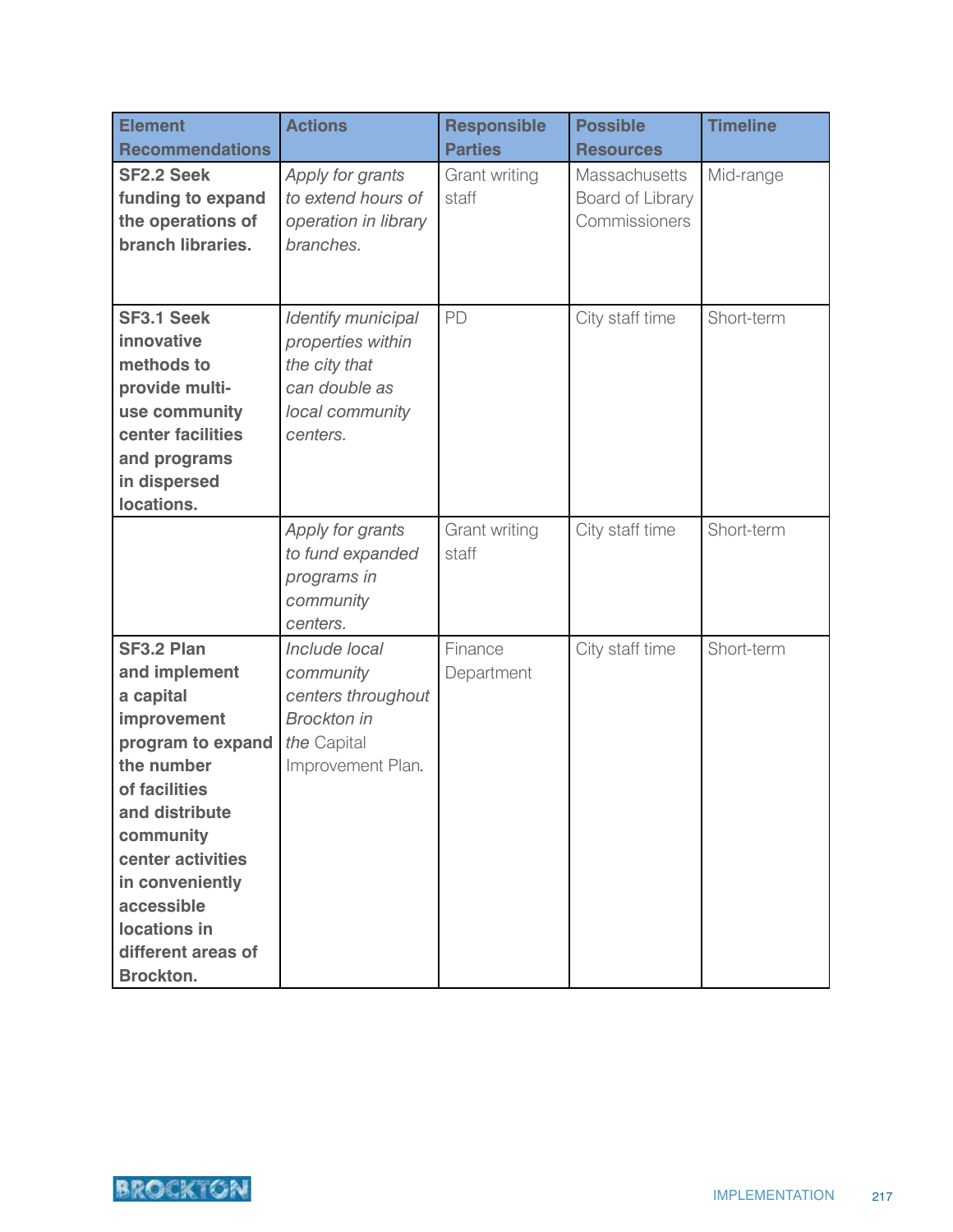| <b>Element</b>                                                                                                                                                                                                                                             | <b>Actions</b>                                                                                             | <b>Responsible</b>     | <b>Possible</b>                                           | <b>Timeline</b> |
|------------------------------------------------------------------------------------------------------------------------------------------------------------------------------------------------------------------------------------------------------------|------------------------------------------------------------------------------------------------------------|------------------------|-----------------------------------------------------------|-----------------|
| <b>Recommendations</b>                                                                                                                                                                                                                                     |                                                                                                            | <b>Parties</b>         | <b>Resources</b>                                          |                 |
| <b>SF2.2 Seek</b><br>funding to expand<br>the operations of<br>branch libraries.                                                                                                                                                                           | Apply for grants<br>to extend hours of<br>operation in library<br>branches.                                | Grant writing<br>staff | <b>Massachusetts</b><br>Board of Library<br>Commissioners | Mid-range       |
| <b>SF3.1 Seek</b><br>innovative<br>methods to<br>provide multi-<br>use community<br>center facilities<br>and programs<br>in dispersed<br>locations.                                                                                                        | Identify municipal<br>properties within<br>the city that<br>can double as<br>local community<br>centers.   | PD                     | City staff time                                           | Short-term      |
|                                                                                                                                                                                                                                                            | Apply for grants<br>to fund expanded<br>programs in<br>community<br>centers.                               | Grant writing<br>staff | City staff time                                           | Short-term      |
| SF3.2 Plan<br>and implement<br>a capital<br>improvement<br>program to expand<br>the number<br>of facilities<br>and distribute<br>community<br>center activities<br>in conveniently<br>accessible<br>locations in<br>different areas of<br><b>Brockton.</b> | Include local<br>community<br>centers throughout<br><b>Brockton</b> in<br>the Capital<br>Improvement Plan. | Finance<br>Department  | City staff time                                           | Short-term      |

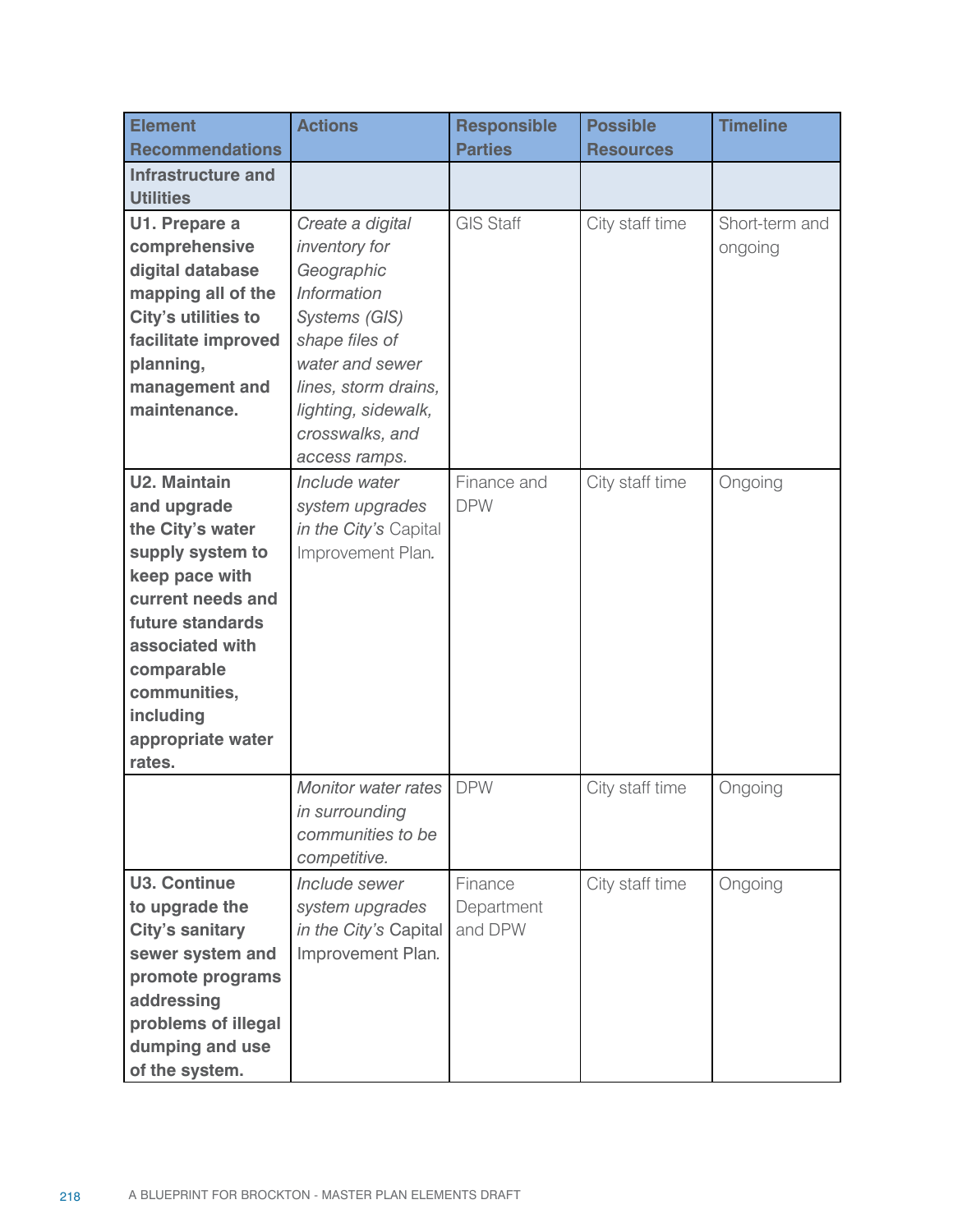| <b>Element</b><br><b>Recommendations</b> | <b>Actions</b>             | <b>Responsible</b><br><b>Parties</b> | <b>Possible</b><br><b>Resources</b> | <b>Timeline</b> |
|------------------------------------------|----------------------------|--------------------------------------|-------------------------------------|-----------------|
| <b>Infrastructure and</b>                |                            |                                      |                                     |                 |
| <b>Utilities</b>                         |                            |                                      |                                     |                 |
| U1. Prepare a                            | Create a digital           | <b>GIS Staff</b>                     | City staff time                     | Short-term and  |
| comprehensive                            | inventory for              |                                      |                                     | ongoing         |
| digital database                         | Geographic                 |                                      |                                     |                 |
| mapping all of the                       | <b>Information</b>         |                                      |                                     |                 |
| City's utilities to                      | Systems (GIS)              |                                      |                                     |                 |
| facilitate improved                      | shape files of             |                                      |                                     |                 |
| planning,                                | water and sewer            |                                      |                                     |                 |
| management and                           | lines, storm drains,       |                                      |                                     |                 |
| maintenance.                             | lighting, sidewalk,        |                                      |                                     |                 |
|                                          | crosswalks, and            |                                      |                                     |                 |
|                                          | access ramps.              |                                      |                                     |                 |
| <b>U2. Maintain</b>                      | Include water              | Finance and                          | City staff time                     | Ongoing         |
| and upgrade                              | system upgrades            | <b>DPW</b>                           |                                     |                 |
| the City's water                         | in the City's Capital      |                                      |                                     |                 |
| supply system to                         | Improvement Plan.          |                                      |                                     |                 |
| keep pace with                           |                            |                                      |                                     |                 |
| current needs and                        |                            |                                      |                                     |                 |
| future standards                         |                            |                                      |                                     |                 |
| associated with                          |                            |                                      |                                     |                 |
| comparable                               |                            |                                      |                                     |                 |
| communities,                             |                            |                                      |                                     |                 |
| including                                |                            |                                      |                                     |                 |
| appropriate water                        |                            |                                      |                                     |                 |
| rates.                                   |                            |                                      |                                     |                 |
|                                          | <b>Monitor water rates</b> | <b>DPW</b>                           | City staff time                     | Ongoing         |
|                                          | in surrounding             |                                      |                                     |                 |
|                                          | communities to be          |                                      |                                     |                 |
|                                          | competitive.               |                                      |                                     |                 |
| <b>U3. Continue</b>                      | Include sewer              | Finance                              | City staff time                     | Ongoing         |
| to upgrade the                           | system upgrades            | Department                           |                                     |                 |
| <b>City's sanitary</b>                   | in the City's Capital      | and DPW                              |                                     |                 |
| sewer system and                         | Improvement Plan.          |                                      |                                     |                 |
| promote programs                         |                            |                                      |                                     |                 |
| addressing                               |                            |                                      |                                     |                 |
| problems of illegal                      |                            |                                      |                                     |                 |
| dumping and use                          |                            |                                      |                                     |                 |
| of the system.                           |                            |                                      |                                     |                 |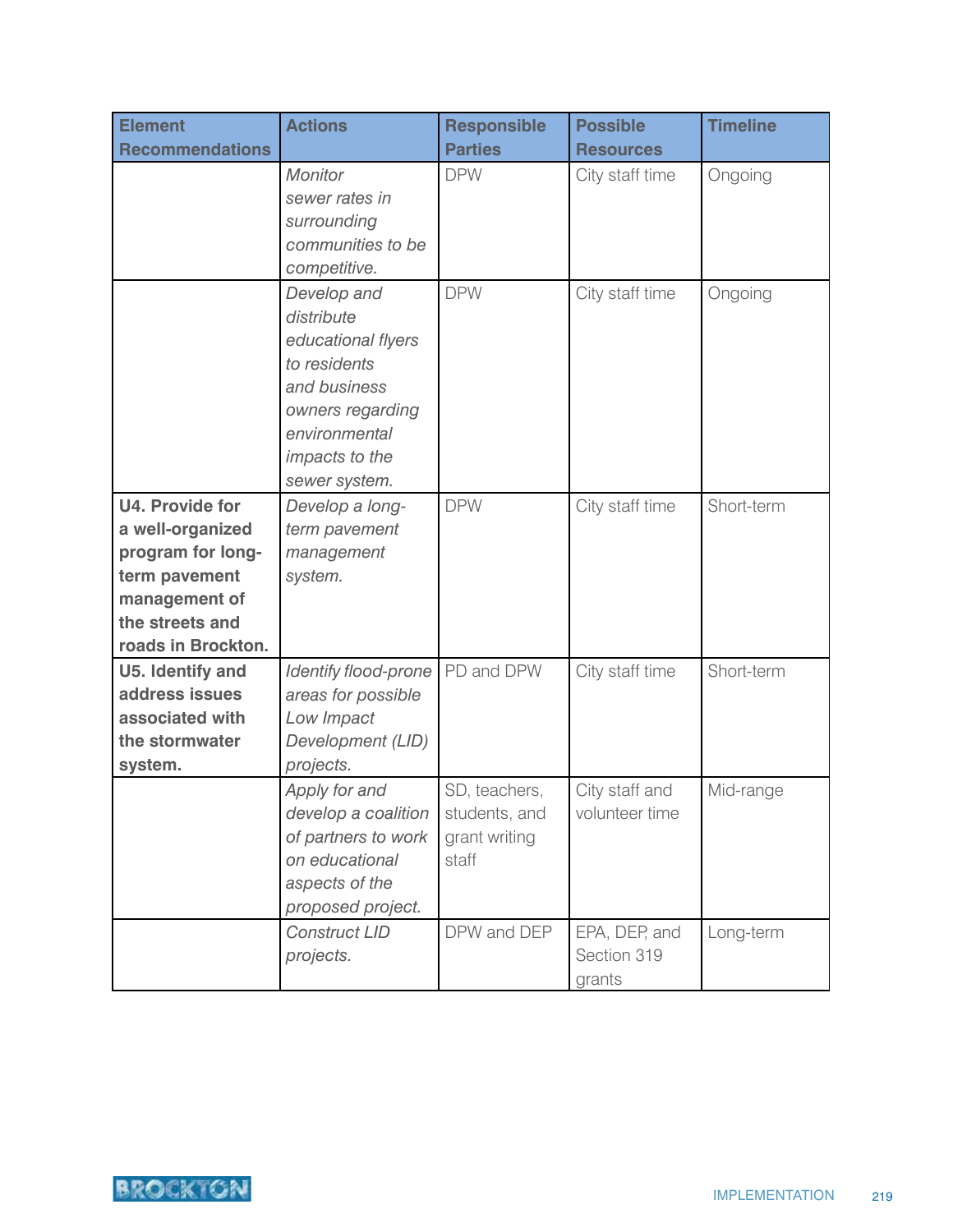| <b>Element</b>                                                                                                                      | <b>Actions</b>                                                                                                                                          | <b>Responsible</b>                                       | <b>Possible</b>                        | <b>Timeline</b> |
|-------------------------------------------------------------------------------------------------------------------------------------|---------------------------------------------------------------------------------------------------------------------------------------------------------|----------------------------------------------------------|----------------------------------------|-----------------|
| <b>Recommendations</b>                                                                                                              |                                                                                                                                                         | <b>Parties</b>                                           | <b>Resources</b>                       |                 |
|                                                                                                                                     | <b>Monitor</b><br>sewer rates in<br>surrounding<br>communities to be<br>competitive.                                                                    | <b>DPW</b>                                               | City staff time                        | Ongoing         |
|                                                                                                                                     | Develop and<br>distribute<br>educational flyers<br>to residents<br>and business<br>owners regarding<br>environmental<br>impacts to the<br>sewer system. | <b>DPW</b>                                               | City staff time                        | Ongoing         |
| U4. Provide for<br>a well-organized<br>program for long-<br>term pavement<br>management of<br>the streets and<br>roads in Brockton. | Develop a long-<br>term pavement<br>management<br>system.                                                                                               | <b>DPW</b>                                               | City staff time                        | Short-term      |
| U5. Identify and<br>address issues<br>associated with<br>the stormwater<br>system.                                                  | Identify flood-prone<br>areas for possible<br>Low Impact<br>Development (LID)<br>projects.                                                              | PD and DPW                                               | City staff time                        | Short-term      |
|                                                                                                                                     | Apply for and<br>develop a coalition<br>of partners to work<br>on educational<br>aspects of the<br>proposed project.                                    | SD, teachers,<br>students, and<br>grant writing<br>staff | City staff and<br>volunteer time       | Mid-range       |
|                                                                                                                                     | <b>Construct LID</b><br>projects.                                                                                                                       | DPW and DEP                                              | EPA, DEP, and<br>Section 319<br>grants | Long-term       |

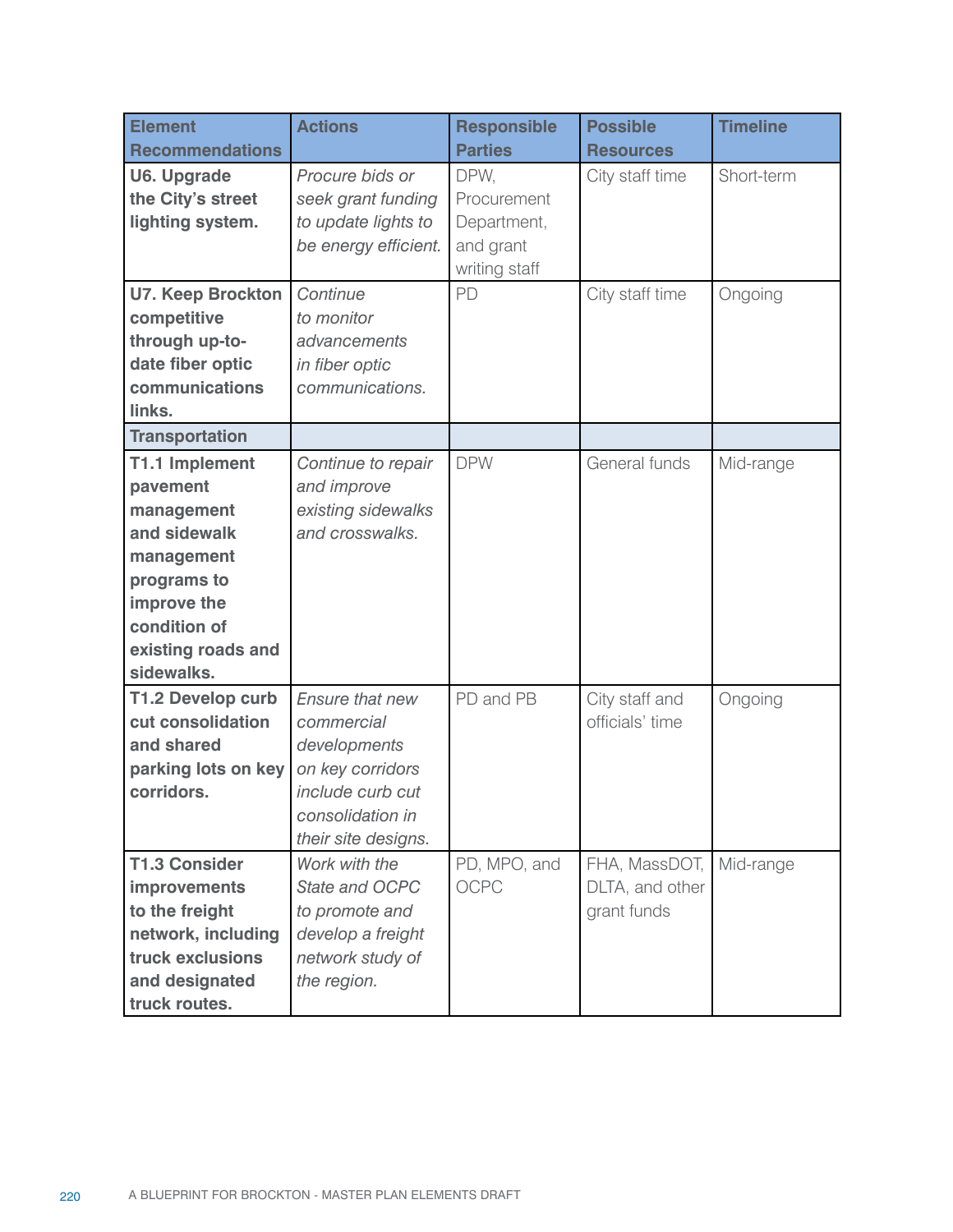| <b>Element</b>                          | <b>Actions</b>                              | <b>Responsible</b>       | <b>Possible</b>  | <b>Timeline</b> |
|-----------------------------------------|---------------------------------------------|--------------------------|------------------|-----------------|
| <b>Recommendations</b>                  |                                             | <b>Parties</b>           | <b>Resources</b> |                 |
| <b>U6. Upgrade</b><br>the City's street | Procure bids or                             | DPW,<br>Procurement      | City staff time  | Short-term      |
|                                         | seek grant funding                          |                          |                  |                 |
| lighting system.                        | to update lights to<br>be energy efficient. | Department,<br>and grant |                  |                 |
|                                         |                                             | writing staff            |                  |                 |
| <b>U7. Keep Brockton</b>                | Continue                                    | PD                       | City staff time  | Ongoing         |
| competitive                             | to monitor                                  |                          |                  |                 |
| through up-to-                          | advancements                                |                          |                  |                 |
| date fiber optic                        | in fiber optic                              |                          |                  |                 |
| communications                          | communications.                             |                          |                  |                 |
| links.                                  |                                             |                          |                  |                 |
| <b>Transportation</b>                   |                                             |                          |                  |                 |
| T1.1 Implement                          | Continue to repair                          | <b>DPW</b>               | General funds    | Mid-range       |
| pavement                                | and improve                                 |                          |                  |                 |
| management                              | existing sidewalks                          |                          |                  |                 |
| and sidewalk                            | and crosswalks.                             |                          |                  |                 |
| management                              |                                             |                          |                  |                 |
| programs to                             |                                             |                          |                  |                 |
| improve the                             |                                             |                          |                  |                 |
| condition of                            |                                             |                          |                  |                 |
| existing roads and                      |                                             |                          |                  |                 |
| sidewalks.                              |                                             |                          |                  |                 |
| T1.2 Develop curb                       | Ensure that new                             | PD and PB                | City staff and   | Ongoing         |
| cut consolidation                       | commercial                                  |                          | officials' time  |                 |
| and shared                              | developments                                |                          |                  |                 |
| parking lots on key                     | on key corridors                            |                          |                  |                 |
| corridors.                              | include curb cut<br>consolidation in        |                          |                  |                 |
|                                         | their site designs.                         |                          |                  |                 |
| <b>T1.3 Consider</b>                    | Work with the                               | PD, MPO, and             | FHA, MassDOT,    | Mid-range       |
| improvements                            | State and OCPC                              | <b>OCPC</b>              | DLTA, and other  |                 |
| to the freight                          | to promote and                              |                          | grant funds      |                 |
| network, including                      | develop a freight                           |                          |                  |                 |
| truck exclusions                        | network study of                            |                          |                  |                 |
| and designated                          | the region.                                 |                          |                  |                 |
| truck routes.                           |                                             |                          |                  |                 |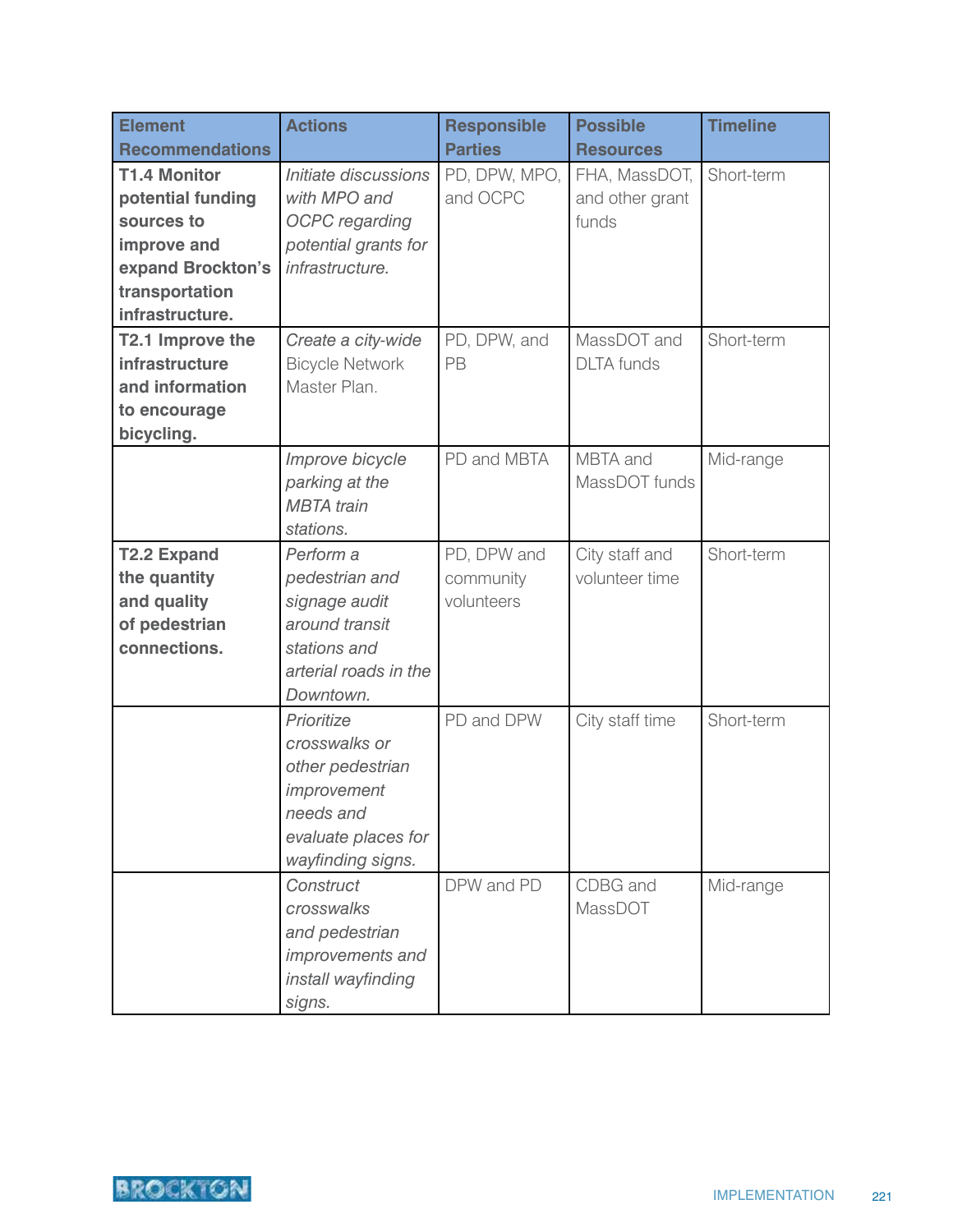| <b>Element</b>                                                                                                                  | <b>Actions</b>                                                                                                          | <b>Responsible</b>                     | <b>Possible</b>                           | <b>Timeline</b> |
|---------------------------------------------------------------------------------------------------------------------------------|-------------------------------------------------------------------------------------------------------------------------|----------------------------------------|-------------------------------------------|-----------------|
| <b>Recommendations</b>                                                                                                          |                                                                                                                         | <b>Parties</b>                         | <b>Resources</b>                          |                 |
| <b>T1.4 Monitor</b><br>potential funding<br>sources to<br>improve and<br>expand Brockton's<br>transportation<br>infrastructure. | Initiate discussions<br>with MPO and<br><b>OCPC</b> regarding<br>potential grants for<br>infrastructure.                | PD, DPW, MPO,<br>and OCPC              | FHA, MassDOT,<br>and other grant<br>funds | Short-term      |
| T2.1 Improve the<br>infrastructure<br>and information<br>to encourage<br>bicycling.                                             | Create a city-wide<br><b>Bicycle Network</b><br>Master Plan.                                                            | PD, DPW, and<br>PB                     | MassDOT and<br><b>DLTA</b> funds          | Short-term      |
|                                                                                                                                 | Improve bicycle<br>parking at the<br><b>MBTA</b> train<br>stations.                                                     | PD and MBTA                            | MBTA and<br>MassDOT funds                 | Mid-range       |
| <b>T2.2 Expand</b><br>the quantity<br>and quality<br>of pedestrian<br>connections.                                              | Perform a<br>pedestrian and<br>signage audit<br>around transit<br>stations and<br>arterial roads in the<br>Downtown.    | PD, DPW and<br>community<br>volunteers | City staff and<br>volunteer time          | Short-term      |
|                                                                                                                                 | Prioritize<br>crosswalks or<br>other pedestrian<br>improvement<br>needs and<br>evaluate places for<br>wayfinding signs. | PD and DPW                             | City staff time                           | Short-term      |
|                                                                                                                                 | Construct<br>crosswalks<br>and pedestrian<br>improvements and<br>install wayfinding<br>signs.                           | DPW and PD                             | CDBG and<br>MassDOT                       | Mid-range       |

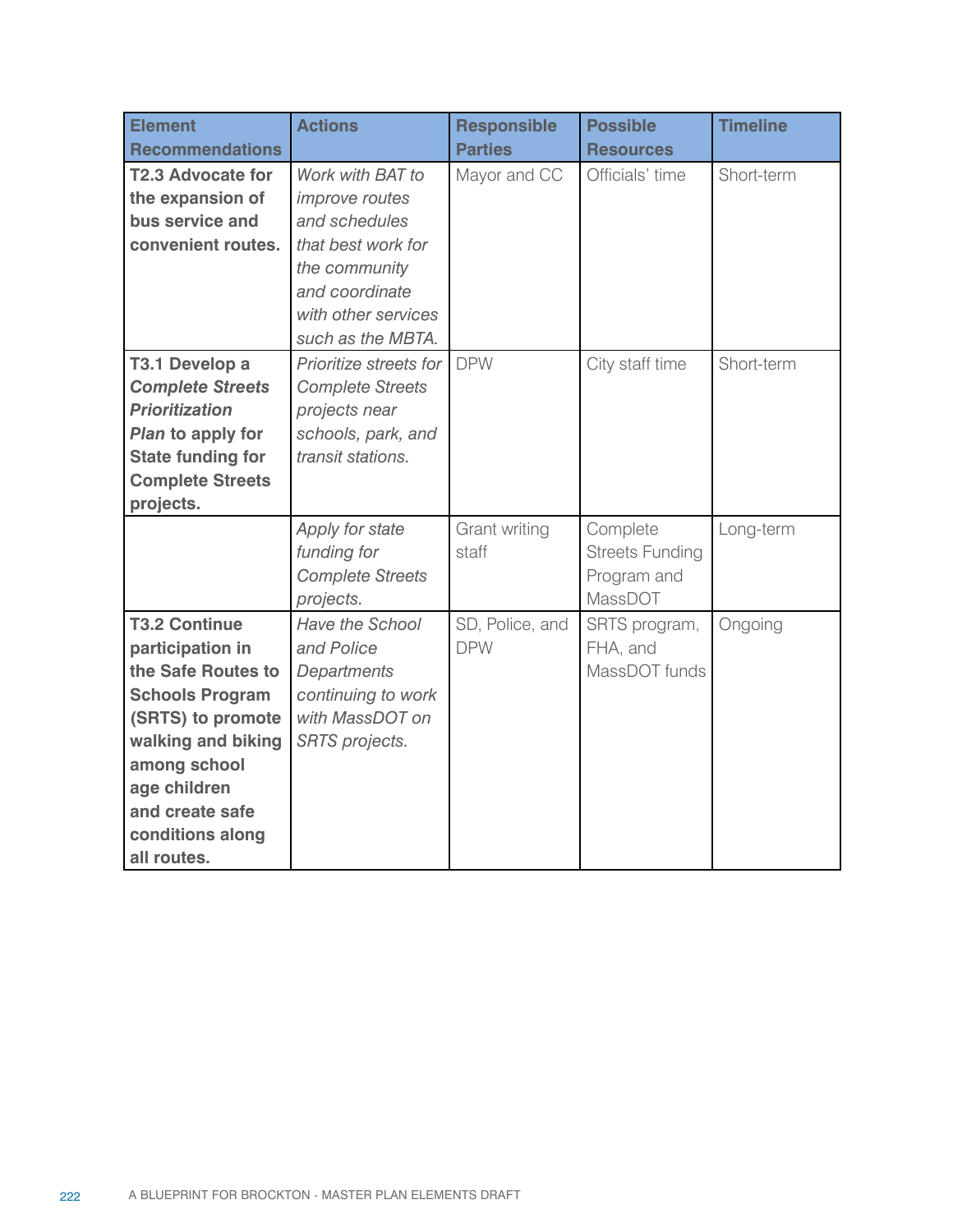| <b>Element</b>                                                                                                                                                                                                            | <b>Actions</b>                                                                                                                                                  | <b>Responsible</b>            | <b>Possible</b>                                              | <b>Timeline</b> |
|---------------------------------------------------------------------------------------------------------------------------------------------------------------------------------------------------------------------------|-----------------------------------------------------------------------------------------------------------------------------------------------------------------|-------------------------------|--------------------------------------------------------------|-----------------|
| <b>Recommendations</b>                                                                                                                                                                                                    |                                                                                                                                                                 | <b>Parties</b>                | <b>Resources</b>                                             |                 |
| <b>T2.3 Advocate for</b><br>the expansion of<br>bus service and<br>convenient routes.                                                                                                                                     | Work with BAT to<br><i>improve routes</i><br>and schedules<br>that best work for<br>the community<br>and coordinate<br>with other services<br>such as the MBTA. | Mayor and CC                  | Officials' time                                              | Short-term      |
| T3.1 Develop a<br><b>Complete Streets</b><br><b>Prioritization</b><br>Plan to apply for<br><b>State funding for</b><br><b>Complete Streets</b><br>projects.                                                               | Prioritize streets for<br><b>Complete Streets</b><br>projects near<br>schools, park, and<br>transit stations.                                                   | <b>DPW</b>                    | City staff time                                              | Short-term      |
|                                                                                                                                                                                                                           | Apply for state<br>funding for<br><b>Complete Streets</b><br>projects.                                                                                          | Grant writing<br>staff        | Complete<br><b>Streets Funding</b><br>Program and<br>MassDOT | Long-term       |
| <b>T3.2 Continue</b><br>participation in<br>the Safe Routes to<br><b>Schools Program</b><br>(SRTS) to promote<br>walking and biking<br>among school<br>age children<br>and create safe<br>conditions along<br>all routes. | Have the School<br>and Police<br>Departments<br>continuing to work<br>with MassDOT on<br><b>SRTS</b> projects.                                                  | SD, Police, and<br><b>DPW</b> | SRTS program,<br>FHA, and<br>MassDOT funds                   | Ongoing         |